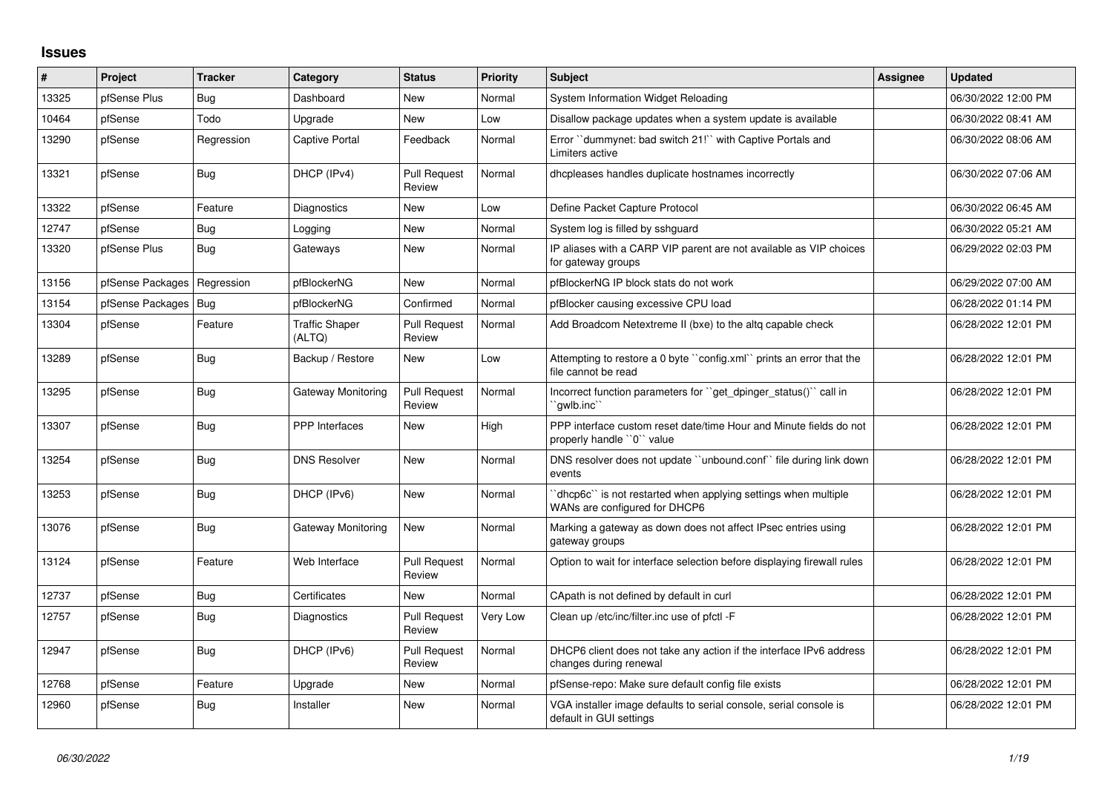## **Issues**

| ∦     | Project                | Tracker    | Category                        | <b>Status</b>                 | <b>Priority</b> | <b>Subject</b>                                                                                  | Assignee | <b>Updated</b>      |
|-------|------------------------|------------|---------------------------------|-------------------------------|-----------------|-------------------------------------------------------------------------------------------------|----------|---------------------|
| 13325 | pfSense Plus           | <b>Bug</b> | Dashboard                       | <b>New</b>                    | Normal          | System Information Widget Reloading                                                             |          | 06/30/2022 12:00 PM |
| 10464 | pfSense                | Todo       | Upgrade                         | <b>New</b>                    | Low             | Disallow package updates when a system update is available                                      |          | 06/30/2022 08:41 AM |
| 13290 | pfSense                | Regression | Captive Portal                  | Feedback                      | Normal          | Error "dummynet: bad switch 21!" with Captive Portals and<br>Limiters active                    |          | 06/30/2022 08:06 AM |
| 13321 | pfSense                | Bug        | DHCP (IPv4)                     | <b>Pull Request</b><br>Review | Normal          | dhcpleases handles duplicate hostnames incorrectly                                              |          | 06/30/2022 07:06 AM |
| 13322 | pfSense                | Feature    | Diagnostics                     | <b>New</b>                    | Low             | Define Packet Capture Protocol                                                                  |          | 06/30/2022 06:45 AM |
| 12747 | pfSense                | Bug        | Logging                         | <b>New</b>                    | Normal          | System log is filled by sshguard                                                                |          | 06/30/2022 05:21 AM |
| 13320 | pfSense Plus           | Bug        | Gateways                        | <b>New</b>                    | Normal          | IP aliases with a CARP VIP parent are not available as VIP choices<br>for gateway groups        |          | 06/29/2022 02:03 PM |
| 13156 | pfSense Packages       | Regression | pfBlockerNG                     | <b>New</b>                    | Normal          | pfBlockerNG IP block stats do not work                                                          |          | 06/29/2022 07:00 AM |
| 13154 | pfSense Packages   Bug |            | pfBlockerNG                     | Confirmed                     | Normal          | pfBlocker causing excessive CPU load                                                            |          | 06/28/2022 01:14 PM |
| 13304 | pfSense                | Feature    | <b>Traffic Shaper</b><br>(ALTQ) | <b>Pull Request</b><br>Review | Normal          | Add Broadcom Netextreme II (bxe) to the altg capable check                                      |          | 06/28/2022 12:01 PM |
| 13289 | pfSense                | Bug        | Backup / Restore                | New                           | Low             | Attempting to restore a 0 byte "config.xml" prints an error that the<br>file cannot be read     |          | 06/28/2022 12:01 PM |
| 13295 | pfSense                | Bug        | <b>Gateway Monitoring</b>       | <b>Pull Request</b><br>Review | Normal          | Incorrect function parameters for "get dpinger status()" call in<br>`qwlb.inc``                 |          | 06/28/2022 12:01 PM |
| 13307 | pfSense                | Bug        | <b>PPP</b> Interfaces           | New                           | High            | PPP interface custom reset date/time Hour and Minute fields do not<br>properly handle "0" value |          | 06/28/2022 12:01 PM |
| 13254 | pfSense                | Bug        | <b>DNS Resolver</b>             | <b>New</b>                    | Normal          | DNS resolver does not update "unbound.conf" file during link down<br>events                     |          | 06/28/2022 12:01 PM |
| 13253 | pfSense                | Bug        | DHCP (IPv6)                     | <b>New</b>                    | Normal          | 'dhcp6c' is not restarted when applying settings when multiple<br>WANs are configured for DHCP6 |          | 06/28/2022 12:01 PM |
| 13076 | pfSense                | Bug        | Gateway Monitoring              | New                           | Normal          | Marking a gateway as down does not affect IPsec entries using<br>gateway groups                 |          | 06/28/2022 12:01 PM |
| 13124 | pfSense                | Feature    | Web Interface                   | <b>Pull Request</b><br>Review | Normal          | Option to wait for interface selection before displaying firewall rules                         |          | 06/28/2022 12:01 PM |
| 12737 | pfSense                | Bug        | Certificates                    | New                           | Normal          | CApath is not defined by default in curl                                                        |          | 06/28/2022 12:01 PM |
| 12757 | pfSense                | Bug        | Diagnostics                     | <b>Pull Request</b><br>Review | Very Low        | Clean up /etc/inc/filter.inc use of pfctl -F                                                    |          | 06/28/2022 12:01 PM |
| 12947 | pfSense                | Bug        | DHCP (IPv6)                     | <b>Pull Request</b><br>Review | Normal          | DHCP6 client does not take any action if the interface IPv6 address<br>changes during renewal   |          | 06/28/2022 12:01 PM |
| 12768 | pfSense                | Feature    | Upgrade                         | New                           | Normal          | pfSense-repo: Make sure default config file exists                                              |          | 06/28/2022 12:01 PM |
| 12960 | pfSense                | Bug        | Installer                       | <b>New</b>                    | Normal          | VGA installer image defaults to serial console, serial console is<br>default in GUI settings    |          | 06/28/2022 12:01 PM |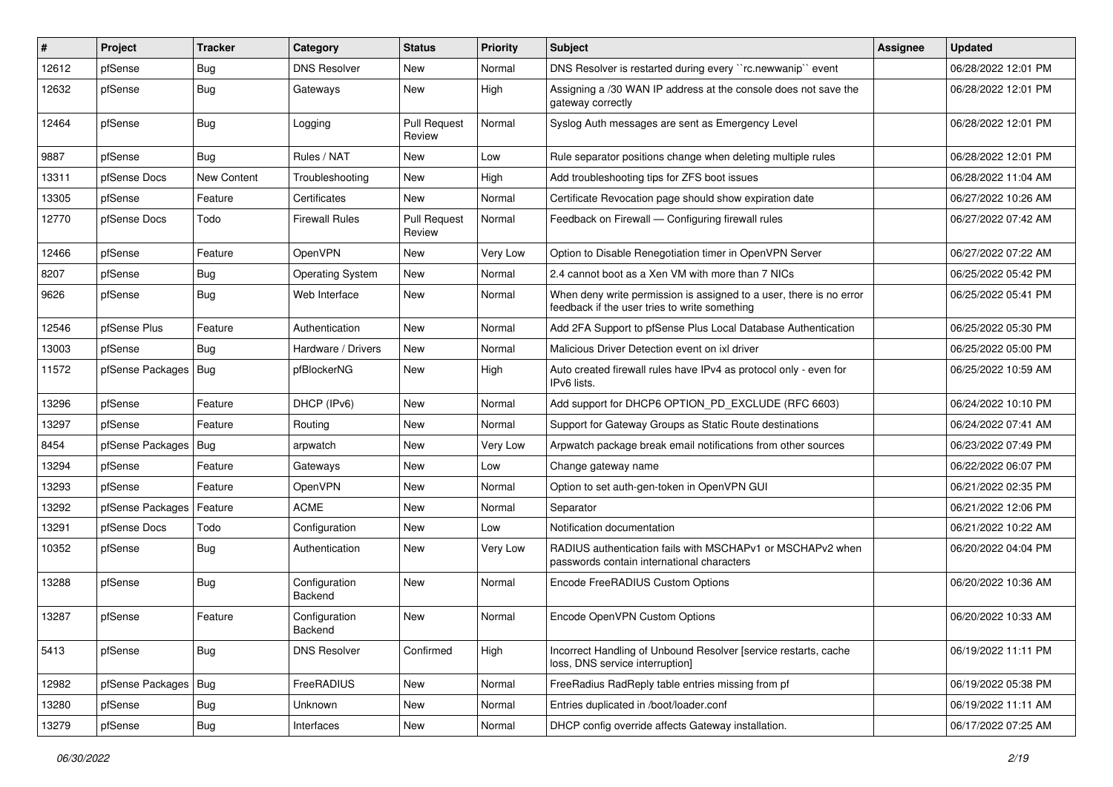| $\vert$ # | Project                | <b>Tracker</b> | Category                 | <b>Status</b>                 | <b>Priority</b> | Subject                                                                                                              | Assignee | <b>Updated</b>      |
|-----------|------------------------|----------------|--------------------------|-------------------------------|-----------------|----------------------------------------------------------------------------------------------------------------------|----------|---------------------|
| 12612     | pfSense                | <b>Bug</b>     | <b>DNS Resolver</b>      | New                           | Normal          | DNS Resolver is restarted during every "rc.newwanip" event                                                           |          | 06/28/2022 12:01 PM |
| 12632     | pfSense                | Bug            | Gateways                 | New                           | High            | Assigning a /30 WAN IP address at the console does not save the<br>gateway correctly                                 |          | 06/28/2022 12:01 PM |
| 12464     | pfSense                | Bug            | Logging                  | <b>Pull Request</b><br>Review | Normal          | Syslog Auth messages are sent as Emergency Level                                                                     |          | 06/28/2022 12:01 PM |
| 9887      | pfSense                | Bug            | Rules / NAT              | <b>New</b>                    | Low             | Rule separator positions change when deleting multiple rules                                                         |          | 06/28/2022 12:01 PM |
| 13311     | pfSense Docs           | New Content    | Troubleshooting          | New                           | High            | Add troubleshooting tips for ZFS boot issues                                                                         |          | 06/28/2022 11:04 AM |
| 13305     | pfSense                | Feature        | Certificates             | <b>New</b>                    | Normal          | Certificate Revocation page should show expiration date                                                              |          | 06/27/2022 10:26 AM |
| 12770     | pfSense Docs           | Todo           | <b>Firewall Rules</b>    | <b>Pull Request</b><br>Review | Normal          | Feedback on Firewall - Configuring firewall rules                                                                    |          | 06/27/2022 07:42 AM |
| 12466     | pfSense                | Feature        | OpenVPN                  | <b>New</b>                    | Very Low        | Option to Disable Renegotiation timer in OpenVPN Server                                                              |          | 06/27/2022 07:22 AM |
| 8207      | pfSense                | Bug            | <b>Operating System</b>  | <b>New</b>                    | Normal          | 2.4 cannot boot as a Xen VM with more than 7 NICs                                                                    |          | 06/25/2022 05:42 PM |
| 9626      | pfSense                | Bug            | Web Interface            | <b>New</b>                    | Normal          | When deny write permission is assigned to a user, there is no error<br>feedback if the user tries to write something |          | 06/25/2022 05:41 PM |
| 12546     | pfSense Plus           | Feature        | Authentication           | <b>New</b>                    | Normal          | Add 2FA Support to pfSense Plus Local Database Authentication                                                        |          | 06/25/2022 05:30 PM |
| 13003     | pfSense                | Bug            | Hardware / Drivers       | <b>New</b>                    | Normal          | Malicious Driver Detection event on ixl driver                                                                       |          | 06/25/2022 05:00 PM |
| 11572     | pfSense Packages   Bug |                | pfBlockerNG              | New                           | High            | Auto created firewall rules have IPv4 as protocol only - even for<br>IPv6 lists.                                     |          | 06/25/2022 10:59 AM |
| 13296     | pfSense                | Feature        | DHCP (IPv6)              | <b>New</b>                    | Normal          | Add support for DHCP6 OPTION_PD_EXCLUDE (RFC 6603)                                                                   |          | 06/24/2022 10:10 PM |
| 13297     | pfSense                | Feature        | Routing                  | <b>New</b>                    | Normal          | Support for Gateway Groups as Static Route destinations                                                              |          | 06/24/2022 07:41 AM |
| 8454      | pfSense Packages       | Bug            | arpwatch                 | <b>New</b>                    | Very Low        | Arpwatch package break email notifications from other sources                                                        |          | 06/23/2022 07:49 PM |
| 13294     | pfSense                | Feature        | Gateways                 | New                           | Low             | Change gateway name                                                                                                  |          | 06/22/2022 06:07 PM |
| 13293     | pfSense                | Feature        | OpenVPN                  | <b>New</b>                    | Normal          | Option to set auth-gen-token in OpenVPN GUI                                                                          |          | 06/21/2022 02:35 PM |
| 13292     | pfSense Packages       | Feature        | <b>ACME</b>              | <b>New</b>                    | Normal          | Separator                                                                                                            |          | 06/21/2022 12:06 PM |
| 13291     | pfSense Docs           | Todo           | Configuration            | New                           | Low             | Notification documentation                                                                                           |          | 06/21/2022 10:22 AM |
| 10352     | pfSense                | <b>Bug</b>     | Authentication           | <b>New</b>                    | Very Low        | RADIUS authentication fails with MSCHAPv1 or MSCHAPv2 when<br>passwords contain international characters             |          | 06/20/2022 04:04 PM |
| 13288     | pfSense                | Bug            | Configuration<br>Backend | <b>New</b>                    | Normal          | Encode FreeRADIUS Custom Options                                                                                     |          | 06/20/2022 10:36 AM |
| 13287     | pfSense                | Feature        | Configuration<br>Backend | New                           | Normal          | Encode OpenVPN Custom Options                                                                                        |          | 06/20/2022 10:33 AM |
| 5413      | pfSense                | Bug            | <b>DNS Resolver</b>      | Confirmed                     | High            | Incorrect Handling of Unbound Resolver [service restarts, cache<br>loss, DNS service interruption]                   |          | 06/19/2022 11:11 PM |
| 12982     | pfSense Packages   Bug |                | FreeRADIUS               | New                           | Normal          | FreeRadius RadReply table entries missing from pf                                                                    |          | 06/19/2022 05:38 PM |
| 13280     | pfSense                | <b>Bug</b>     | Unknown                  | New                           | Normal          | Entries duplicated in /boot/loader.conf                                                                              |          | 06/19/2022 11:11 AM |
| 13279     | pfSense                | Bug            | Interfaces               | New                           | Normal          | DHCP config override affects Gateway installation.                                                                   |          | 06/17/2022 07:25 AM |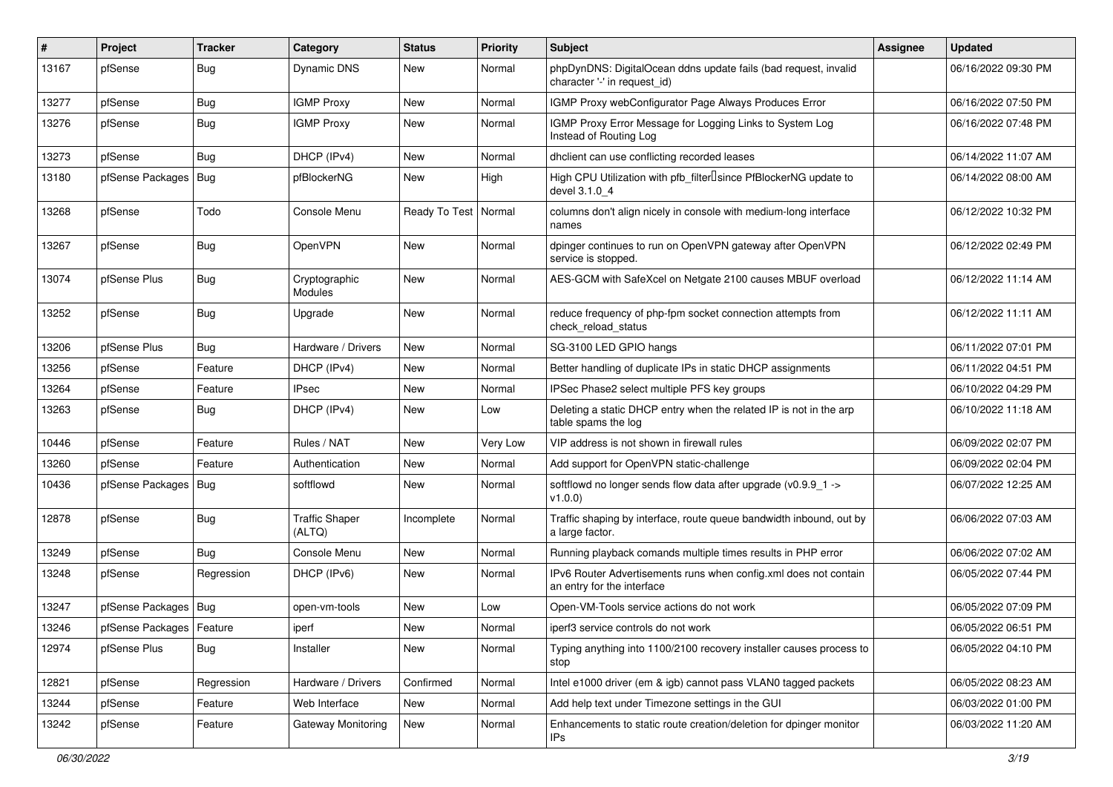| #     | Project                    | <b>Tracker</b> | Category                        | <b>Status</b> | <b>Priority</b> | <b>Subject</b>                                                                                  | <b>Assignee</b> | <b>Updated</b>      |
|-------|----------------------------|----------------|---------------------------------|---------------|-----------------|-------------------------------------------------------------------------------------------------|-----------------|---------------------|
| 13167 | pfSense                    | <b>Bug</b>     | <b>Dynamic DNS</b>              | <b>New</b>    | Normal          | phpDynDNS: DigitalOcean ddns update fails (bad request, invalid<br>character '-' in request id) |                 | 06/16/2022 09:30 PM |
| 13277 | pfSense                    | Bug            | <b>IGMP Proxy</b>               | <b>New</b>    | Normal          | IGMP Proxy webConfigurator Page Always Produces Error                                           |                 | 06/16/2022 07:50 PM |
| 13276 | pfSense                    | Bug            | <b>IGMP Proxy</b>               | <b>New</b>    | Normal          | IGMP Proxy Error Message for Logging Links to System Log<br>Instead of Routing Log              |                 | 06/16/2022 07:48 PM |
| 13273 | pfSense                    | Bug            | DHCP (IPv4)                     | <b>New</b>    | Normal          | dhclient can use conflicting recorded leases                                                    |                 | 06/14/2022 11:07 AM |
| 13180 | pfSense Packages           | Bug            | pfBlockerNG                     | <b>New</b>    | High            | High CPU Utilization with pfb_filterlsince PfBlockerNG update to<br>devel 3.1.0 4               |                 | 06/14/2022 08:00 AM |
| 13268 | pfSense                    | Todo           | Console Menu                    | Ready To Test | Normal          | columns don't align nicely in console with medium-long interface<br>names                       |                 | 06/12/2022 10:32 PM |
| 13267 | pfSense                    | Bug            | OpenVPN                         | <b>New</b>    | Normal          | dpinger continues to run on OpenVPN gateway after OpenVPN<br>service is stopped.                |                 | 06/12/2022 02:49 PM |
| 13074 | pfSense Plus               | Bug            | Cryptographic<br>Modules        | <b>New</b>    | Normal          | AES-GCM with SafeXcel on Netgate 2100 causes MBUF overload                                      |                 | 06/12/2022 11:14 AM |
| 13252 | pfSense                    | <b>Bug</b>     | Upgrade                         | <b>New</b>    | Normal          | reduce frequency of php-fpm socket connection attempts from<br>check reload status              |                 | 06/12/2022 11:11 AM |
| 13206 | pfSense Plus               | <b>Bug</b>     | Hardware / Drivers              | <b>New</b>    | Normal          | SG-3100 LED GPIO hangs                                                                          |                 | 06/11/2022 07:01 PM |
| 13256 | pfSense                    | Feature        | DHCP (IPv4)                     | New           | Normal          | Better handling of duplicate IPs in static DHCP assignments                                     |                 | 06/11/2022 04:51 PM |
| 13264 | pfSense                    | Feature        | <b>IPsec</b>                    | <b>New</b>    | Normal          | IPSec Phase2 select multiple PFS key groups                                                     |                 | 06/10/2022 04:29 PM |
| 13263 | pfSense                    | <b>Bug</b>     | DHCP (IPv4)                     | <b>New</b>    | Low             | Deleting a static DHCP entry when the related IP is not in the arp<br>table spams the log       |                 | 06/10/2022 11:18 AM |
| 10446 | pfSense                    | Feature        | Rules / NAT                     | <b>New</b>    | Very Low        | VIP address is not shown in firewall rules                                                      |                 | 06/09/2022 02:07 PM |
| 13260 | pfSense                    | Feature        | Authentication                  | New           | Normal          | Add support for OpenVPN static-challenge                                                        |                 | 06/09/2022 02:04 PM |
| 10436 | pfSense Packages   Bug     |                | softflowd                       | <b>New</b>    | Normal          | softflowd no longer sends flow data after upgrade (v0.9.9_1 -><br>v1.0.0                        |                 | 06/07/2022 12:25 AM |
| 12878 | pfSense                    | Bug            | <b>Traffic Shaper</b><br>(ALTQ) | Incomplete    | Normal          | Traffic shaping by interface, route queue bandwidth inbound, out by<br>a large factor.          |                 | 06/06/2022 07:03 AM |
| 13249 | pfSense                    | Bug            | Console Menu                    | <b>New</b>    | Normal          | Running playback comands multiple times results in PHP error                                    |                 | 06/06/2022 07:02 AM |
| 13248 | pfSense                    | Regression     | DHCP (IPv6)                     | <b>New</b>    | Normal          | IPv6 Router Advertisements runs when config.xml does not contain<br>an entry for the interface  |                 | 06/05/2022 07:44 PM |
| 13247 | pfSense Packages   Bug     |                | open-vm-tools                   | New           | Low             | Open-VM-Tools service actions do not work                                                       |                 | 06/05/2022 07:09 PM |
| 13246 | pfSense Packages   Feature |                | iperf                           | New           | Normal          | iperf3 service controls do not work                                                             |                 | 06/05/2022 06:51 PM |
| 12974 | pfSense Plus               | <b>Bug</b>     | Installer                       | New           | Normal          | Typing anything into 1100/2100 recovery installer causes process to<br>stop                     |                 | 06/05/2022 04:10 PM |
| 12821 | pfSense                    | Regression     | Hardware / Drivers              | Confirmed     | Normal          | Intel e1000 driver (em & igb) cannot pass VLAN0 tagged packets                                  |                 | 06/05/2022 08:23 AM |
| 13244 | pfSense                    | Feature        | Web Interface                   | New           | Normal          | Add help text under Timezone settings in the GUI                                                |                 | 06/03/2022 01:00 PM |
| 13242 | pfSense                    | Feature        | Gateway Monitoring              | New           | Normal          | Enhancements to static route creation/deletion for dpinger monitor<br>IP <sub>s</sub>           |                 | 06/03/2022 11:20 AM |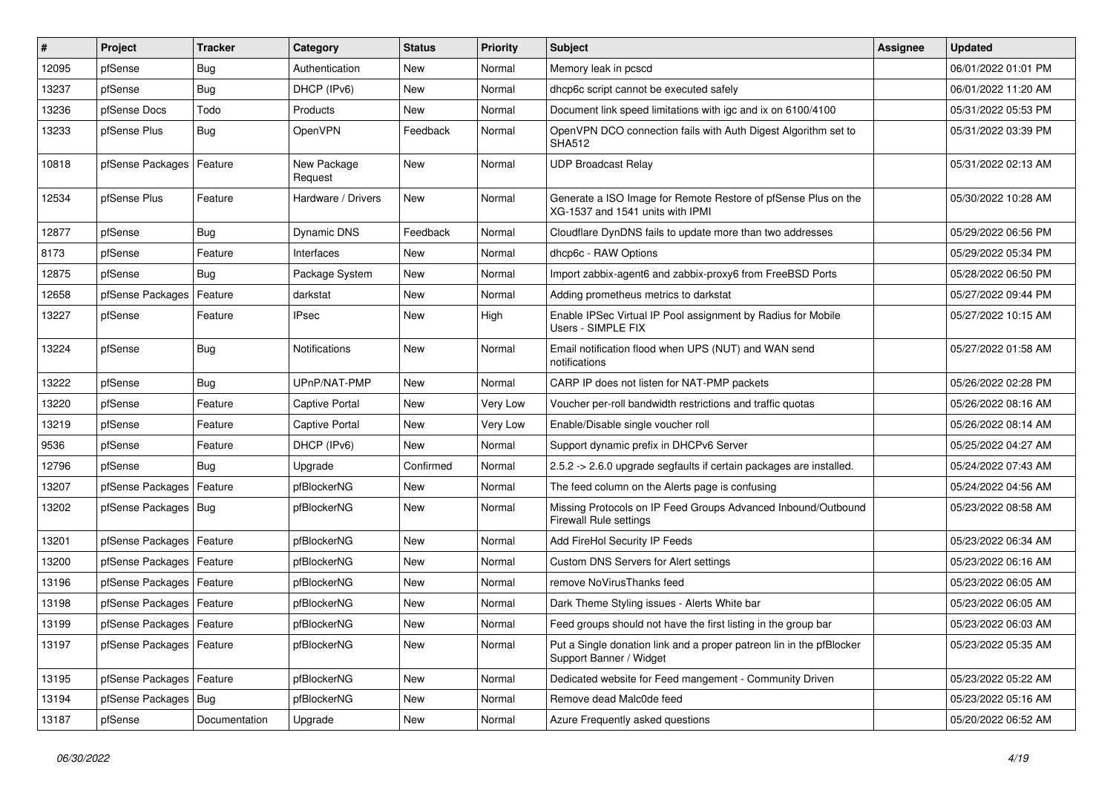| #     | Project                    | <b>Tracker</b> | Category               | <b>Status</b> | <b>Priority</b> | <b>Subject</b>                                                                                     | <b>Assignee</b> | <b>Updated</b>      |
|-------|----------------------------|----------------|------------------------|---------------|-----------------|----------------------------------------------------------------------------------------------------|-----------------|---------------------|
| 12095 | pfSense                    | Bug            | Authentication         | New           | Normal          | Memory leak in pcscd                                                                               |                 | 06/01/2022 01:01 PM |
| 13237 | pfSense                    | Bug            | DHCP (IPv6)            | <b>New</b>    | Normal          | dhcp6c script cannot be executed safely                                                            |                 | 06/01/2022 11:20 AM |
| 13236 | pfSense Docs               | Todo           | Products               | New           | Normal          | Document link speed limitations with igc and ix on 6100/4100                                       |                 | 05/31/2022 05:53 PM |
| 13233 | pfSense Plus               | <b>Bug</b>     | OpenVPN                | Feedback      | Normal          | OpenVPN DCO connection fails with Auth Digest Algorithm set to<br><b>SHA512</b>                    |                 | 05/31/2022 03:39 PM |
| 10818 | pfSense Packages           | Feature        | New Package<br>Request | <b>New</b>    | Normal          | <b>UDP Broadcast Relay</b>                                                                         |                 | 05/31/2022 02:13 AM |
| 12534 | pfSense Plus               | Feature        | Hardware / Drivers     | <b>New</b>    | Normal          | Generate a ISO Image for Remote Restore of pfSense Plus on the<br>XG-1537 and 1541 units with IPMI |                 | 05/30/2022 10:28 AM |
| 12877 | pfSense                    | Bug            | Dynamic DNS            | Feedback      | Normal          | Cloudflare DynDNS fails to update more than two addresses                                          |                 | 05/29/2022 06:56 PM |
| 8173  | pfSense                    | Feature        | Interfaces             | <b>New</b>    | Normal          | dhcp6c - RAW Options                                                                               |                 | 05/29/2022 05:34 PM |
| 12875 | pfSense                    | Bug            | Package System         | <b>New</b>    | Normal          | Import zabbix-agent6 and zabbix-proxy6 from FreeBSD Ports                                          |                 | 05/28/2022 06:50 PM |
| 12658 | pfSense Packages           | Feature        | darkstat               | <b>New</b>    | Normal          | Adding prometheus metrics to darkstat                                                              |                 | 05/27/2022 09:44 PM |
| 13227 | pfSense                    | Feature        | <b>IPsec</b>           | New           | High            | Enable IPSec Virtual IP Pool assignment by Radius for Mobile<br>Users - SIMPLE FIX                 |                 | 05/27/2022 10:15 AM |
| 13224 | pfSense                    | <b>Bug</b>     | Notifications          | <b>New</b>    | Normal          | Email notification flood when UPS (NUT) and WAN send<br>notifications                              |                 | 05/27/2022 01:58 AM |
| 13222 | pfSense                    | <b>Bug</b>     | UPnP/NAT-PMP           | <b>New</b>    | Normal          | CARP IP does not listen for NAT-PMP packets                                                        |                 | 05/26/2022 02:28 PM |
| 13220 | pfSense                    | Feature        | Captive Portal         | <b>New</b>    | Very Low        | Voucher per-roll bandwidth restrictions and traffic quotas                                         |                 | 05/26/2022 08:16 AM |
| 13219 | pfSense                    | Feature        | Captive Portal         | <b>New</b>    | Very Low        | Enable/Disable single voucher roll                                                                 |                 | 05/26/2022 08:14 AM |
| 9536  | pfSense                    | Feature        | DHCP (IPv6)            | New           | Normal          | Support dynamic prefix in DHCPv6 Server                                                            |                 | 05/25/2022 04:27 AM |
| 12796 | pfSense                    | Bug            | Upgrade                | Confirmed     | Normal          | 2.5.2 -> 2.6.0 upgrade segfaults if certain packages are installed.                                |                 | 05/24/2022 07:43 AM |
| 13207 | pfSense Packages           | Feature        | pfBlockerNG            | New           | Normal          | The feed column on the Alerts page is confusing                                                    |                 | 05/24/2022 04:56 AM |
| 13202 | pfSense Packages           | Bug            | pfBlockerNG            | <b>New</b>    | Normal          | Missing Protocols on IP Feed Groups Advanced Inbound/Outbound<br><b>Firewall Rule settings</b>     |                 | 05/23/2022 08:58 AM |
| 13201 | pfSense Packages           | Feature        | pfBlockerNG            | <b>New</b>    | Normal          | Add FireHol Security IP Feeds                                                                      |                 | 05/23/2022 06:34 AM |
| 13200 | pfSense Packages           | Feature        | pfBlockerNG            | New           | Normal          | Custom DNS Servers for Alert settings                                                              |                 | 05/23/2022 06:16 AM |
| 13196 | pfSense Packages   Feature |                | pfBlockerNG            | New           | Normal          | remove NoVirusThanks feed                                                                          |                 | 05/23/2022 06:05 AM |
| 13198 | pfSense Packages           | Feature        | pfBlockerNG            | New           | Normal          | Dark Theme Styling issues - Alerts White bar                                                       |                 | 05/23/2022 06:05 AM |
| 13199 | pfSense Packages   Feature |                | pfBlockerNG            | New           | Normal          | Feed groups should not have the first listing in the group bar                                     |                 | 05/23/2022 06:03 AM |
| 13197 | pfSense Packages   Feature |                | pfBlockerNG            | New           | Normal          | Put a Single donation link and a proper patreon lin in the pfBlocker<br>Support Banner / Widget    |                 | 05/23/2022 05:35 AM |
| 13195 | pfSense Packages           | Feature        | pfBlockerNG            | New           | Normal          | Dedicated website for Feed mangement - Community Driven                                            |                 | 05/23/2022 05:22 AM |
| 13194 | pfSense Packages           | Bug            | pfBlockerNG            | New           | Normal          | Remove dead Malc0de feed                                                                           |                 | 05/23/2022 05:16 AM |
| 13187 | pfSense                    | Documentation  | Upgrade                | New           | Normal          | Azure Frequently asked questions                                                                   |                 | 05/20/2022 06:52 AM |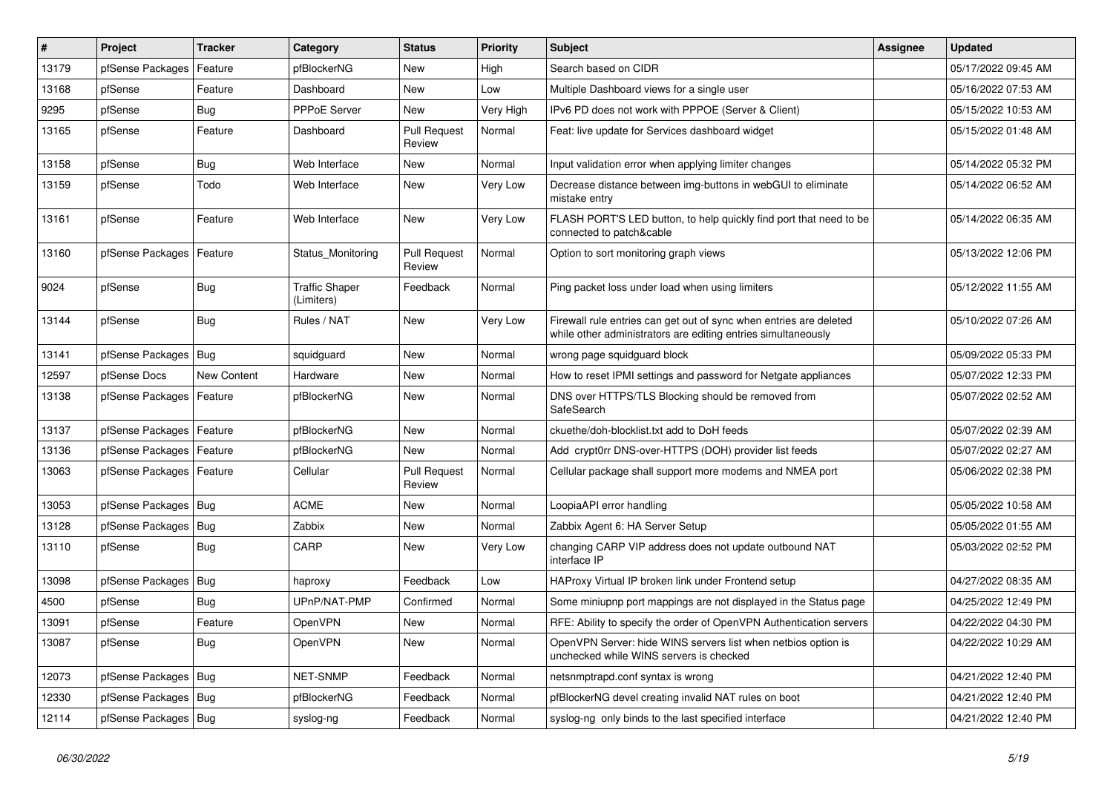| #     | Project                | <b>Tracker</b> | Category                            | <b>Status</b>                 | <b>Priority</b> | <b>Subject</b>                                                                                                                      | <b>Assignee</b> | <b>Updated</b>      |
|-------|------------------------|----------------|-------------------------------------|-------------------------------|-----------------|-------------------------------------------------------------------------------------------------------------------------------------|-----------------|---------------------|
| 13179 | pfSense Packages       | Feature        | pfBlockerNG                         | <b>New</b>                    | High            | Search based on CIDR                                                                                                                |                 | 05/17/2022 09:45 AM |
| 13168 | pfSense                | Feature        | Dashboard                           | <b>New</b>                    | Low             | Multiple Dashboard views for a single user                                                                                          |                 | 05/16/2022 07:53 AM |
| 9295  | pfSense                | Bug            | <b>PPPoE Server</b>                 | <b>New</b>                    | Very High       | IPv6 PD does not work with PPPOE (Server & Client)                                                                                  |                 | 05/15/2022 10:53 AM |
| 13165 | pfSense                | Feature        | Dashboard                           | <b>Pull Request</b><br>Review | Normal          | Feat: live update for Services dashboard widget                                                                                     |                 | 05/15/2022 01:48 AM |
| 13158 | pfSense                | <b>Bug</b>     | Web Interface                       | <b>New</b>                    | Normal          | Input validation error when applying limiter changes                                                                                |                 | 05/14/2022 05:32 PM |
| 13159 | pfSense                | Todo           | Web Interface                       | New                           | Very Low        | Decrease distance between img-buttons in webGUI to eliminate<br>mistake entry                                                       |                 | 05/14/2022 06:52 AM |
| 13161 | pfSense                | Feature        | Web Interface                       | <b>New</b>                    | Very Low        | FLASH PORT'S LED button, to help quickly find port that need to be<br>connected to patch&cable                                      |                 | 05/14/2022 06:35 AM |
| 13160 | pfSense Packages       | Feature        | Status Monitoring                   | <b>Pull Request</b><br>Review | Normal          | Option to sort monitoring graph views                                                                                               |                 | 05/13/2022 12:06 PM |
| 9024  | pfSense                | Bug            | <b>Traffic Shaper</b><br>(Limiters) | Feedback                      | Normal          | Ping packet loss under load when using limiters                                                                                     |                 | 05/12/2022 11:55 AM |
| 13144 | pfSense                | <b>Bug</b>     | Rules / NAT                         | <b>New</b>                    | Very Low        | Firewall rule entries can get out of sync when entries are deleted<br>while other administrators are editing entries simultaneously |                 | 05/10/2022 07:26 AM |
| 13141 | pfSense Packages       | Bug            | squidguard                          | <b>New</b>                    | Normal          | wrong page squidguard block                                                                                                         |                 | 05/09/2022 05:33 PM |
| 12597 | pfSense Docs           | New Content    | Hardware                            | <b>New</b>                    | Normal          | How to reset IPMI settings and password for Netgate appliances                                                                      |                 | 05/07/2022 12:33 PM |
| 13138 | pfSense Packages       | Feature        | pfBlockerNG                         | New                           | Normal          | DNS over HTTPS/TLS Blocking should be removed from<br>SafeSearch                                                                    |                 | 05/07/2022 02:52 AM |
| 13137 | pfSense Packages       | Feature        | pfBlockerNG                         | New                           | Normal          | ckuethe/doh-blocklist.txt add to DoH feeds                                                                                          |                 | 05/07/2022 02:39 AM |
| 13136 | pfSense Packages       | Feature        | pfBlockerNG                         | <b>New</b>                    | Normal          | Add crypt0rr DNS-over-HTTPS (DOH) provider list feeds                                                                               |                 | 05/07/2022 02:27 AM |
| 13063 | pfSense Packages       | Feature        | Cellular                            | <b>Pull Request</b><br>Review | Normal          | Cellular package shall support more modems and NMEA port                                                                            |                 | 05/06/2022 02:38 PM |
| 13053 | pfSense Packages       | Bug            | <b>ACME</b>                         | <b>New</b>                    | Normal          | LoopiaAPI error handling                                                                                                            |                 | 05/05/2022 10:58 AM |
| 13128 | pfSense Packages       | Bug            | Zabbix                              | <b>New</b>                    | Normal          | Zabbix Agent 6: HA Server Setup                                                                                                     |                 | 05/05/2022 01:55 AM |
| 13110 | pfSense                | <b>Bug</b>     | CARP                                | <b>New</b>                    | Very Low        | changing CARP VIP address does not update outbound NAT<br>interface IP                                                              |                 | 05/03/2022 02:52 PM |
| 13098 | pfSense Packages       | Bug            | haproxy                             | Feedback                      | Low             | HAProxy Virtual IP broken link under Frontend setup                                                                                 |                 | 04/27/2022 08:35 AM |
| 4500  | pfSense                | Bug            | UPnP/NAT-PMP                        | Confirmed                     | Normal          | Some miniupnp port mappings are not displayed in the Status page                                                                    |                 | 04/25/2022 12:49 PM |
| 13091 | pfSense                | Feature        | <b>OpenVPN</b>                      | <b>New</b>                    | Normal          | RFE: Ability to specify the order of OpenVPN Authentication servers                                                                 |                 | 04/22/2022 04:30 PM |
| 13087 | pfSense                | <b>Bug</b>     | OpenVPN                             | <b>New</b>                    | Normal          | OpenVPN Server: hide WINS servers list when netbios option is<br>unchecked while WINS servers is checked                            |                 | 04/22/2022 10:29 AM |
| 12073 | pfSense Packages       | Bug            | NET-SNMP                            | Feedback                      | Normal          | netsnmptrapd.conf syntax is wrong                                                                                                   |                 | 04/21/2022 12:40 PM |
| 12330 | pfSense Packages       | Bug            | pfBlockerNG                         | Feedback                      | Normal          | pfBlockerNG devel creating invalid NAT rules on boot                                                                                |                 | 04/21/2022 12:40 PM |
| 12114 | pfSense Packages   Bug |                | syslog-ng                           | Feedback                      | Normal          | syslog-ng only binds to the last specified interface                                                                                |                 | 04/21/2022 12:40 PM |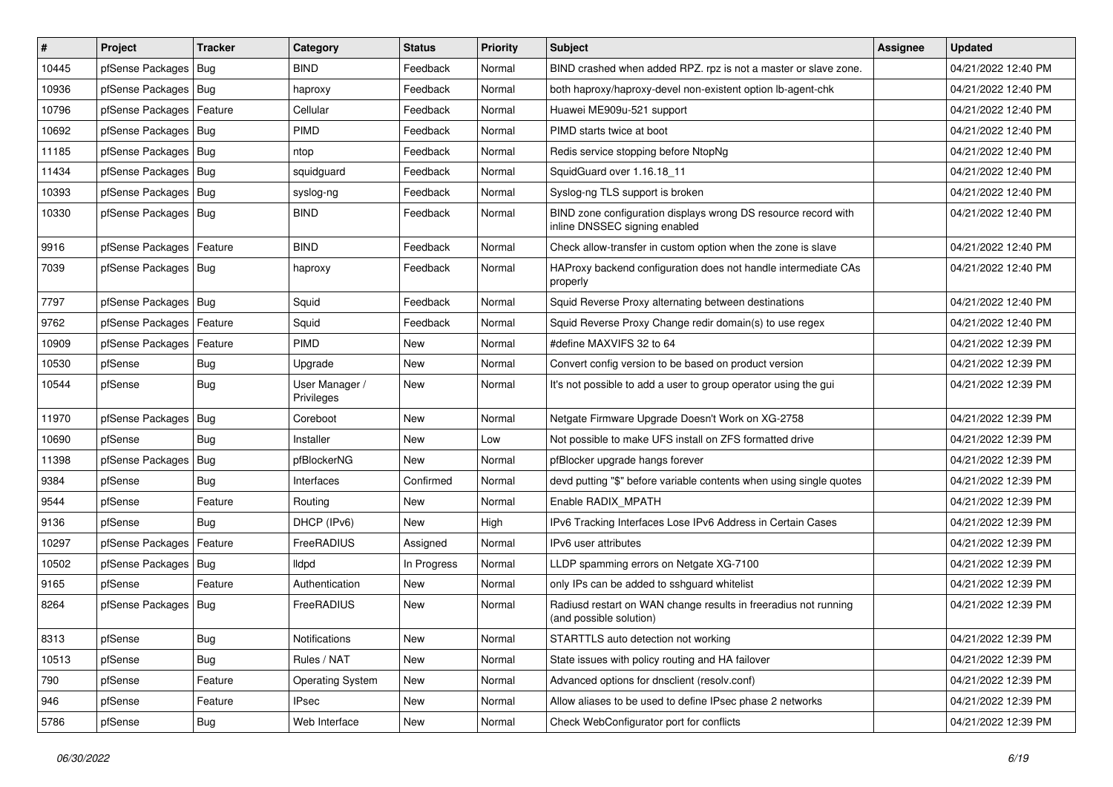| $\vert$ # | Project                    | <b>Tracker</b> | Category                     | <b>Status</b> | <b>Priority</b> | <b>Subject</b>                                                                                  | Assignee | <b>Updated</b>      |
|-----------|----------------------------|----------------|------------------------------|---------------|-----------------|-------------------------------------------------------------------------------------------------|----------|---------------------|
| 10445     | pfSense Packages   Bug     |                | <b>BIND</b>                  | Feedback      | Normal          | BIND crashed when added RPZ. rpz is not a master or slave zone.                                 |          | 04/21/2022 12:40 PM |
| 10936     | pfSense Packages   Bug     |                | haproxy                      | Feedback      | Normal          | both haproxy/haproxy-devel non-existent option lb-agent-chk                                     |          | 04/21/2022 12:40 PM |
| 10796     | pfSense Packages   Feature |                | Cellular                     | Feedback      | Normal          | Huawei ME909u-521 support                                                                       |          | 04/21/2022 12:40 PM |
| 10692     | pfSense Packages   Bug     |                | <b>PIMD</b>                  | Feedback      | Normal          | PIMD starts twice at boot                                                                       |          | 04/21/2022 12:40 PM |
| 11185     | pfSense Packages   Bug     |                | ntop                         | Feedback      | Normal          | Redis service stopping before NtopNg                                                            |          | 04/21/2022 12:40 PM |
| 11434     | pfSense Packages   Bug     |                | squidguard                   | Feedback      | Normal          | SquidGuard over 1.16.18 11                                                                      |          | 04/21/2022 12:40 PM |
| 10393     | pfSense Packages   Bug     |                | syslog-ng                    | Feedback      | Normal          | Syslog-ng TLS support is broken                                                                 |          | 04/21/2022 12:40 PM |
| 10330     | pfSense Packages   Bug     |                | <b>BIND</b>                  | Feedback      | Normal          | BIND zone configuration displays wrong DS resource record with<br>inline DNSSEC signing enabled |          | 04/21/2022 12:40 PM |
| 9916      | pfSense Packages   Feature |                | <b>BIND</b>                  | Feedback      | Normal          | Check allow-transfer in custom option when the zone is slave                                    |          | 04/21/2022 12:40 PM |
| 7039      | pfSense Packages   Bug     |                | haproxy                      | Feedback      | Normal          | HAProxy backend configuration does not handle intermediate CAs<br>properly                      |          | 04/21/2022 12:40 PM |
| 7797      | pfSense Packages   Bug     |                | Squid                        | Feedback      | Normal          | Squid Reverse Proxy alternating between destinations                                            |          | 04/21/2022 12:40 PM |
| 9762      | pfSense Packages           | Feature        | Squid                        | Feedback      | Normal          | Squid Reverse Proxy Change redir domain(s) to use regex                                         |          | 04/21/2022 12:40 PM |
| 10909     | pfSense Packages   Feature |                | PIMD                         | <b>New</b>    | Normal          | #define MAXVIFS 32 to 64                                                                        |          | 04/21/2022 12:39 PM |
| 10530     | pfSense                    | <b>Bug</b>     | Upgrade                      | <b>New</b>    | Normal          | Convert config version to be based on product version                                           |          | 04/21/2022 12:39 PM |
| 10544     | pfSense                    | Bug            | User Manager /<br>Privileges | <b>New</b>    | Normal          | It's not possible to add a user to group operator using the qui                                 |          | 04/21/2022 12:39 PM |
| 11970     | pfSense Packages   Bug     |                | Coreboot                     | New           | Normal          | Netgate Firmware Upgrade Doesn't Work on XG-2758                                                |          | 04/21/2022 12:39 PM |
| 10690     | pfSense                    | Bug            | Installer                    | <b>New</b>    | Low             | Not possible to make UFS install on ZFS formatted drive                                         |          | 04/21/2022 12:39 PM |
| 11398     | pfSense Packages           | Bug            | pfBlockerNG                  | <b>New</b>    | Normal          | pfBlocker upgrade hangs forever                                                                 |          | 04/21/2022 12:39 PM |
| 9384      | pfSense                    | Bug            | Interfaces                   | Confirmed     | Normal          | devd putting "\$" before variable contents when using single quotes                             |          | 04/21/2022 12:39 PM |
| 9544      | pfSense                    | Feature        | Routing                      | <b>New</b>    | Normal          | Enable RADIX_MPATH                                                                              |          | 04/21/2022 12:39 PM |
| 9136      | pfSense                    | Bug            | DHCP (IPv6)                  | New           | High            | IPv6 Tracking Interfaces Lose IPv6 Address in Certain Cases                                     |          | 04/21/2022 12:39 PM |
| 10297     | pfSense Packages           | Feature        | FreeRADIUS                   | Assigned      | Normal          | IPv6 user attributes                                                                            |          | 04/21/2022 12:39 PM |
| 10502     | pfSense Packages   Bug     |                | lldpd                        | In Progress   | Normal          | LLDP spamming errors on Netgate XG-7100                                                         |          | 04/21/2022 12:39 PM |
| 9165      | pfSense                    | Feature        | Authentication               | New           | Normal          | only IPs can be added to sshguard whitelist                                                     |          | 04/21/2022 12:39 PM |
| 8264      | pfSense Packages   Bug     |                | FreeRADIUS                   | New           | Normal          | Radiusd restart on WAN change results in freeradius not running<br>(and possible solution)      |          | 04/21/2022 12:39 PM |
| 8313      | pfSense                    | Bug            | Notifications                | New           | Normal          | STARTTLS auto detection not working                                                             |          | 04/21/2022 12:39 PM |
| 10513     | pfSense                    | Bug            | Rules / NAT                  | New           | Normal          | State issues with policy routing and HA failover                                                |          | 04/21/2022 12:39 PM |
| 790       | pfSense                    | Feature        | <b>Operating System</b>      | New           | Normal          | Advanced options for dnsclient (resolv.conf)                                                    |          | 04/21/2022 12:39 PM |
| 946       | pfSense                    | Feature        | <b>IPsec</b>                 | New           | Normal          | Allow aliases to be used to define IPsec phase 2 networks                                       |          | 04/21/2022 12:39 PM |
| 5786      | pfSense                    | <b>Bug</b>     | Web Interface                | New           | Normal          | Check WebConfigurator port for conflicts                                                        |          | 04/21/2022 12:39 PM |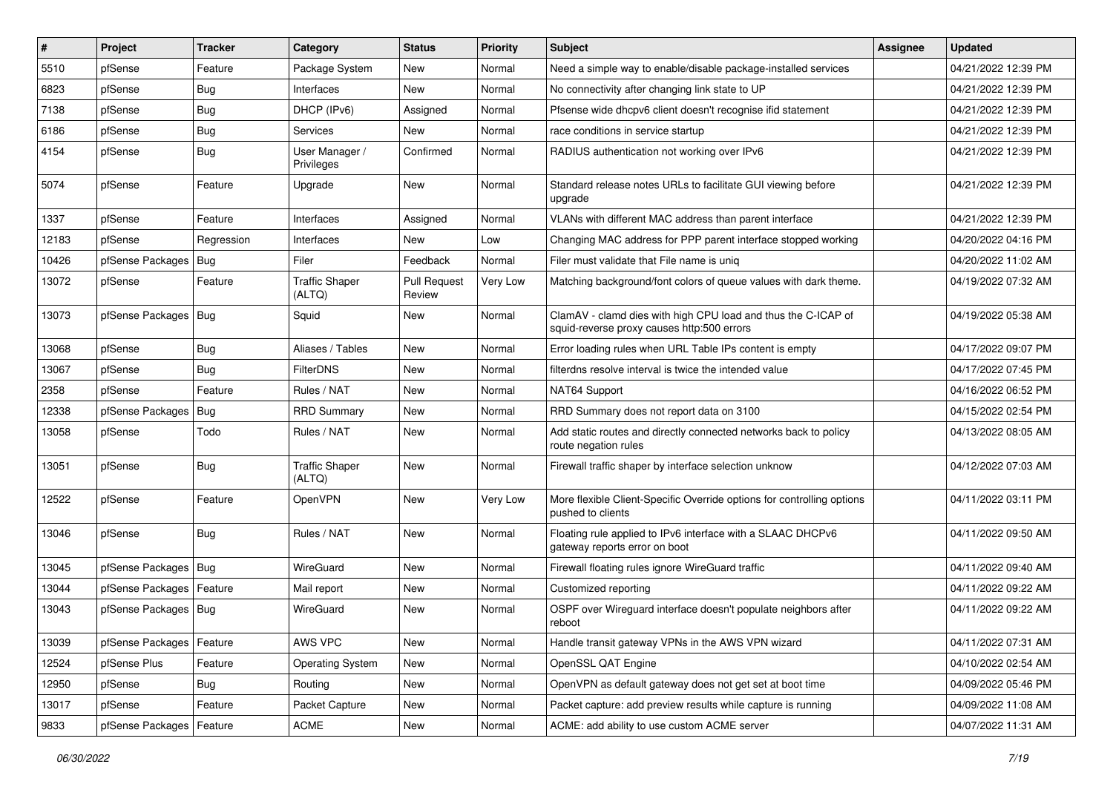| #     | Project                | <b>Tracker</b> | Category                        | <b>Status</b>                 | <b>Priority</b> | <b>Subject</b>                                                                                              | <b>Assignee</b> | <b>Updated</b>      |
|-------|------------------------|----------------|---------------------------------|-------------------------------|-----------------|-------------------------------------------------------------------------------------------------------------|-----------------|---------------------|
| 5510  | pfSense                | Feature        | Package System                  | <b>New</b>                    | Normal          | Need a simple way to enable/disable package-installed services                                              |                 | 04/21/2022 12:39 PM |
| 6823  | pfSense                | Bug            | Interfaces                      | New                           | Normal          | No connectivity after changing link state to UP                                                             |                 | 04/21/2022 12:39 PM |
| 7138  | pfSense                | Bug            | DHCP (IPv6)                     | Assigned                      | Normal          | Pfsense wide dhcpv6 client doesn't recognise ifid statement                                                 |                 | 04/21/2022 12:39 PM |
| 6186  | pfSense                | Bug            | Services                        | New                           | Normal          | race conditions in service startup                                                                          |                 | 04/21/2022 12:39 PM |
| 4154  | pfSense                | <b>Bug</b>     | User Manager /<br>Privileges    | Confirmed                     | Normal          | RADIUS authentication not working over IPv6                                                                 |                 | 04/21/2022 12:39 PM |
| 5074  | pfSense                | Feature        | Upgrade                         | New                           | Normal          | Standard release notes URLs to facilitate GUI viewing before<br>upgrade                                     |                 | 04/21/2022 12:39 PM |
| 1337  | pfSense                | Feature        | Interfaces                      | Assigned                      | Normal          | VLANs with different MAC address than parent interface                                                      |                 | 04/21/2022 12:39 PM |
| 12183 | pfSense                | Regression     | Interfaces                      | New                           | Low             | Changing MAC address for PPP parent interface stopped working                                               |                 | 04/20/2022 04:16 PM |
| 10426 | pfSense Packages       | Bug            | Filer                           | Feedback                      | Normal          | Filer must validate that File name is unig                                                                  |                 | 04/20/2022 11:02 AM |
| 13072 | pfSense                | Feature        | <b>Traffic Shaper</b><br>(ALTQ) | <b>Pull Request</b><br>Review | Very Low        | Matching background/font colors of queue values with dark theme.                                            |                 | 04/19/2022 07:32 AM |
| 13073 | pfSense Packages   Bug |                | Squid                           | New                           | Normal          | ClamAV - clamd dies with high CPU load and thus the C-ICAP of<br>squid-reverse proxy causes http:500 errors |                 | 04/19/2022 05:38 AM |
| 13068 | pfSense                | Bug            | Aliases / Tables                | <b>New</b>                    | Normal          | Error loading rules when URL Table IPs content is empty                                                     |                 | 04/17/2022 09:07 PM |
| 13067 | pfSense                | <b>Bug</b>     | <b>FilterDNS</b>                | <b>New</b>                    | Normal          | filterdns resolve interval is twice the intended value                                                      |                 | 04/17/2022 07:45 PM |
| 2358  | pfSense                | Feature        | Rules / NAT                     | <b>New</b>                    | Normal          | NAT64 Support                                                                                               |                 | 04/16/2022 06:52 PM |
| 12338 | pfSense Packages       | <b>Bug</b>     | <b>RRD Summary</b>              | <b>New</b>                    | Normal          | RRD Summary does not report data on 3100                                                                    |                 | 04/15/2022 02:54 PM |
| 13058 | pfSense                | Todo           | Rules / NAT                     | New                           | Normal          | Add static routes and directly connected networks back to policy<br>route negation rules                    |                 | 04/13/2022 08:05 AM |
| 13051 | pfSense                | Bug            | <b>Traffic Shaper</b><br>(ALTQ) | New                           | Normal          | Firewall traffic shaper by interface selection unknow                                                       |                 | 04/12/2022 07:03 AM |
| 12522 | pfSense                | Feature        | OpenVPN                         | New                           | Very Low        | More flexible Client-Specific Override options for controlling options<br>pushed to clients                 |                 | 04/11/2022 03:11 PM |
| 13046 | pfSense                | Bug            | Rules / NAT                     | New                           | Normal          | Floating rule applied to IPv6 interface with a SLAAC DHCPv6<br>gateway reports error on boot                |                 | 04/11/2022 09:50 AM |
| 13045 | pfSense Packages       | Bug            | WireGuard                       | New                           | Normal          | Firewall floating rules ignore WireGuard traffic                                                            |                 | 04/11/2022 09:40 AM |
| 13044 | pfSense Packages       | Feature        | Mail report                     | <b>New</b>                    | Normal          | Customized reporting                                                                                        |                 | 04/11/2022 09:22 AM |
| 13043 | pfSense Packages   Bug |                | WireGuard                       | New                           | Normal          | OSPF over Wireguard interface doesn't populate neighbors after<br>reboot                                    |                 | 04/11/2022 09:22 AM |
| 13039 | pfSense Packages       | Feature        | AWS VPC                         | New                           | Normal          | Handle transit gateway VPNs in the AWS VPN wizard                                                           |                 | 04/11/2022 07:31 AM |
| 12524 | pfSense Plus           | Feature        | <b>Operating System</b>         | New                           | Normal          | OpenSSL QAT Engine                                                                                          |                 | 04/10/2022 02:54 AM |
| 12950 | pfSense                | <b>Bug</b>     | Routing                         | New                           | Normal          | OpenVPN as default gateway does not get set at boot time                                                    |                 | 04/09/2022 05:46 PM |
| 13017 | pfSense                | Feature        | Packet Capture                  | New                           | Normal          | Packet capture: add preview results while capture is running                                                |                 | 04/09/2022 11:08 AM |
| 9833  | pfSense Packages       | Feature        | ACME                            | New                           | Normal          | ACME: add ability to use custom ACME server                                                                 |                 | 04/07/2022 11:31 AM |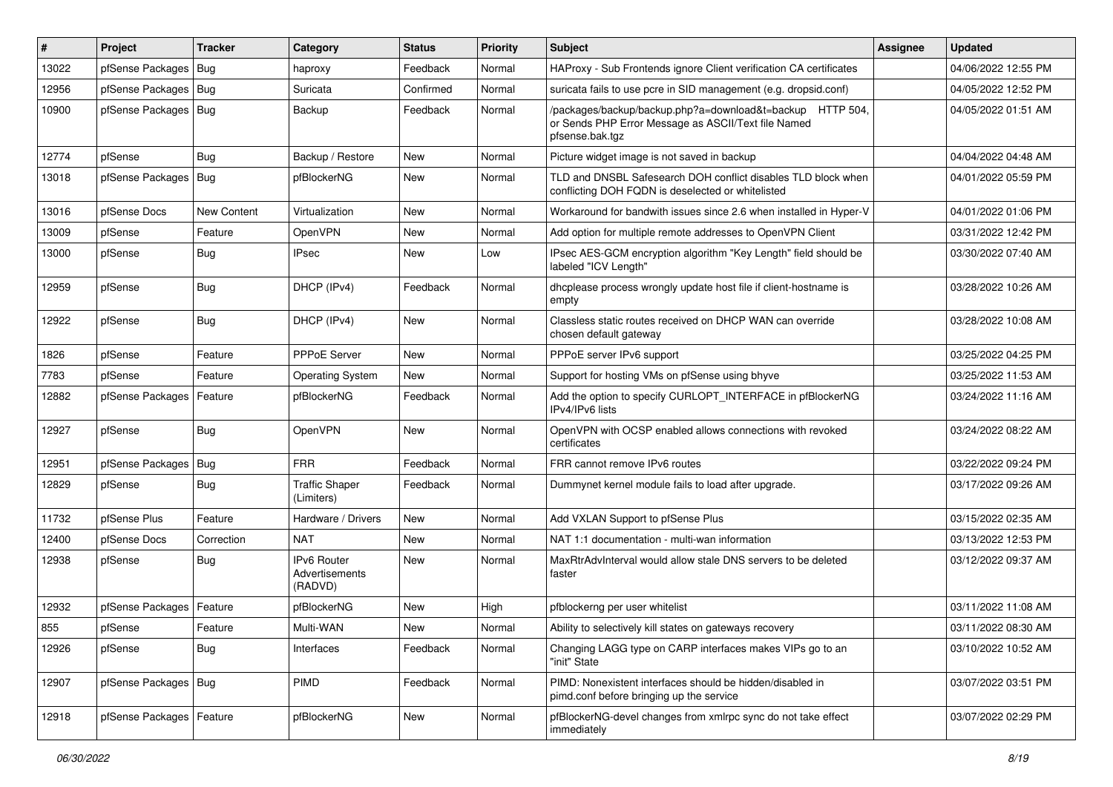| ∦     | Project                    | <b>Tracker</b>     | Category                                 | <b>Status</b> | <b>Priority</b> | <b>Subject</b>                                                                                                                      | <b>Assignee</b> | <b>Updated</b>      |
|-------|----------------------------|--------------------|------------------------------------------|---------------|-----------------|-------------------------------------------------------------------------------------------------------------------------------------|-----------------|---------------------|
| 13022 | pfSense Packages   Bug     |                    | haproxy                                  | Feedback      | Normal          | HAProxy - Sub Frontends ignore Client verification CA certificates                                                                  |                 | 04/06/2022 12:55 PM |
| 12956 | pfSense Packages   Bug     |                    | Suricata                                 | Confirmed     | Normal          | suricata fails to use pcre in SID management (e.g. dropsid.conf)                                                                    |                 | 04/05/2022 12:52 PM |
| 10900 | pfSense Packages   Bug     |                    | Backup                                   | Feedback      | Normal          | /packages/backup/backup.php?a=download&t=backup HTTP 504,<br>or Sends PHP Error Message as ASCII/Text file Named<br>pfsense.bak.tgz |                 | 04/05/2022 01:51 AM |
| 12774 | pfSense                    | Bug                | Backup / Restore                         | New           | Normal          | Picture widget image is not saved in backup                                                                                         |                 | 04/04/2022 04:48 AM |
| 13018 | pfSense Packages   Bug     |                    | pfBlockerNG                              | New           | Normal          | TLD and DNSBL Safesearch DOH conflict disables TLD block when<br>conflicting DOH FQDN is deselected or whitelisted                  |                 | 04/01/2022 05:59 PM |
| 13016 | pfSense Docs               | <b>New Content</b> | Virtualization                           | <b>New</b>    | Normal          | Workaround for bandwith issues since 2.6 when installed in Hyper-V                                                                  |                 | 04/01/2022 01:06 PM |
| 13009 | pfSense                    | Feature            | OpenVPN                                  | New           | Normal          | Add option for multiple remote addresses to OpenVPN Client                                                                          |                 | 03/31/2022 12:42 PM |
| 13000 | pfSense                    | Bug                | <b>IPsec</b>                             | New           | Low             | IPsec AES-GCM encryption algorithm "Key Length" field should be<br>labeled "ICV Length"                                             |                 | 03/30/2022 07:40 AM |
| 12959 | pfSense                    | <b>Bug</b>         | DHCP (IPv4)                              | Feedback      | Normal          | dhcplease process wrongly update host file if client-hostname is<br>empty                                                           |                 | 03/28/2022 10:26 AM |
| 12922 | pfSense                    | Bug                | DHCP (IPv4)                              | <b>New</b>    | Normal          | Classless static routes received on DHCP WAN can override<br>chosen default gateway                                                 |                 | 03/28/2022 10:08 AM |
| 1826  | pfSense                    | Feature            | <b>PPPoE Server</b>                      | <b>New</b>    | Normal          | PPPoE server IPv6 support                                                                                                           |                 | 03/25/2022 04:25 PM |
| 7783  | pfSense                    | Feature            | <b>Operating System</b>                  | New           | Normal          | Support for hosting VMs on pfSense using bhyve                                                                                      |                 | 03/25/2022 11:53 AM |
| 12882 | pfSense Packages           | Feature            | pfBlockerNG                              | Feedback      | Normal          | Add the option to specify CURLOPT_INTERFACE in pfBlockerNG<br>IPv4/IPv6 lists                                                       |                 | 03/24/2022 11:16 AM |
| 12927 | pfSense                    | <b>Bug</b>         | OpenVPN                                  | <b>New</b>    | Normal          | OpenVPN with OCSP enabled allows connections with revoked<br>certificates                                                           |                 | 03/24/2022 08:22 AM |
| 12951 | pfSense Packages   Bug     |                    | <b>FRR</b>                               | Feedback      | Normal          | FRR cannot remove IPv6 routes                                                                                                       |                 | 03/22/2022 09:24 PM |
| 12829 | pfSense                    | Bug                | <b>Traffic Shaper</b><br>(Limiters)      | Feedback      | Normal          | Dummynet kernel module fails to load after upgrade.                                                                                 |                 | 03/17/2022 09:26 AM |
| 11732 | pfSense Plus               | Feature            | Hardware / Drivers                       | <b>New</b>    | Normal          | Add VXLAN Support to pfSense Plus                                                                                                   |                 | 03/15/2022 02:35 AM |
| 12400 | pfSense Docs               | Correction         | <b>NAT</b>                               | <b>New</b>    | Normal          | NAT 1:1 documentation - multi-wan information                                                                                       |                 | 03/13/2022 12:53 PM |
| 12938 | pfSense                    | <b>Bug</b>         | IPv6 Router<br>Advertisements<br>(RADVD) | New           | Normal          | MaxRtrAdvInterval would allow stale DNS servers to be deleted<br>faster                                                             |                 | 03/12/2022 09:37 AM |
| 12932 | pfSense Packages   Feature |                    | pfBlockerNG                              | New           | High            | pfblockerng per user whitelist                                                                                                      |                 | 03/11/2022 11:08 AM |
| 855   | pfSense                    | Feature            | Multi-WAN                                | New           | Normal          | Ability to selectively kill states on gateways recovery                                                                             |                 | 03/11/2022 08:30 AM |
| 12926 | pfSense                    | Bug                | Interfaces                               | Feedback      | Normal          | Changing LAGG type on CARP interfaces makes VIPs go to an<br>"init" State                                                           |                 | 03/10/2022 10:52 AM |
| 12907 | pfSense Packages   Bug     |                    | PIMD                                     | Feedback      | Normal          | PIMD: Nonexistent interfaces should be hidden/disabled in<br>pimd.conf before bringing up the service                               |                 | 03/07/2022 03:51 PM |
| 12918 | pfSense Packages   Feature |                    | pfBlockerNG                              | New           | Normal          | pfBlockerNG-devel changes from xmlrpc sync do not take effect<br>immediately                                                        |                 | 03/07/2022 02:29 PM |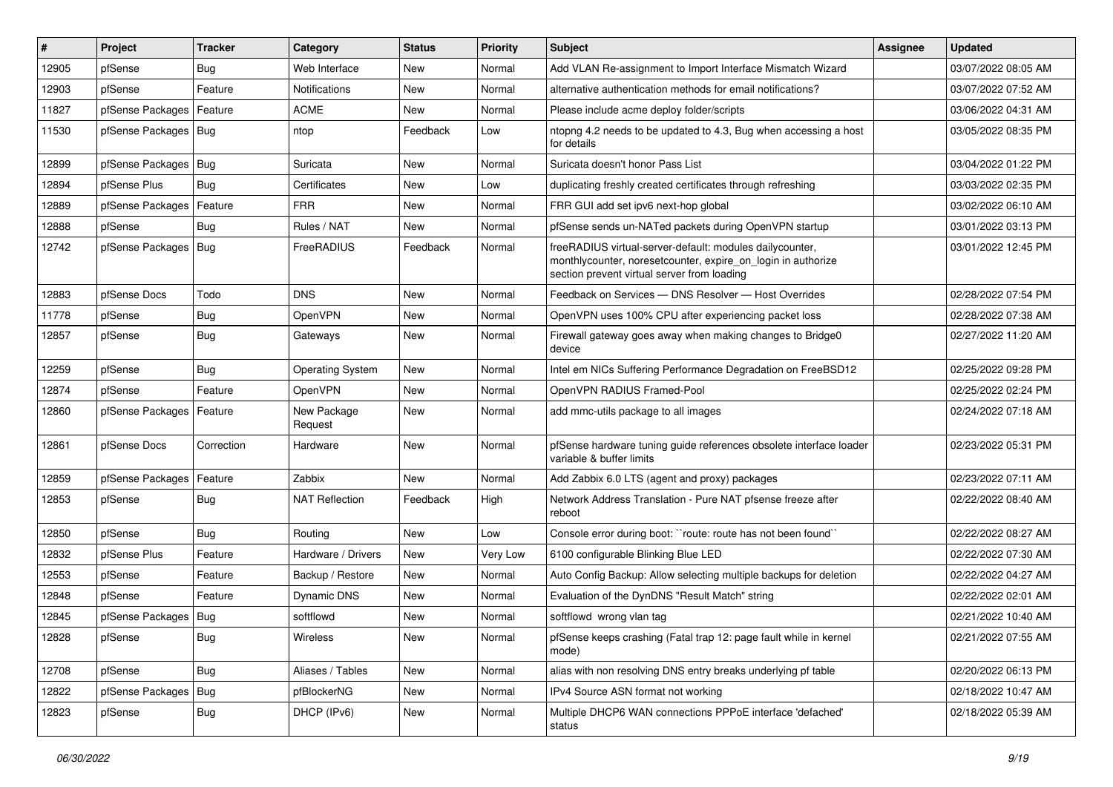| #     | Project                    | <b>Tracker</b> | Category                | <b>Status</b> | <b>Priority</b> | <b>Subject</b>                                                                                                                                                           | <b>Assignee</b> | <b>Updated</b>      |
|-------|----------------------------|----------------|-------------------------|---------------|-----------------|--------------------------------------------------------------------------------------------------------------------------------------------------------------------------|-----------------|---------------------|
| 12905 | pfSense                    | Bug            | Web Interface           | <b>New</b>    | Normal          | Add VLAN Re-assignment to Import Interface Mismatch Wizard                                                                                                               |                 | 03/07/2022 08:05 AM |
| 12903 | pfSense                    | Feature        | Notifications           | <b>New</b>    | Normal          | alternative authentication methods for email notifications?                                                                                                              |                 | 03/07/2022 07:52 AM |
| 11827 | pfSense Packages           | Feature        | <b>ACME</b>             | New           | Normal          | Please include acme deploy folder/scripts                                                                                                                                |                 | 03/06/2022 04:31 AM |
| 11530 | pfSense Packages   Bug     |                | ntop                    | Feedback      | Low             | ntopng 4.2 needs to be updated to 4.3, Bug when accessing a host<br>for details                                                                                          |                 | 03/05/2022 08:35 PM |
| 12899 | pfSense Packages           | Bug            | Suricata                | <b>New</b>    | Normal          | Suricata doesn't honor Pass List                                                                                                                                         |                 | 03/04/2022 01:22 PM |
| 12894 | pfSense Plus               | Bug            | Certificates            | <b>New</b>    | Low             | duplicating freshly created certificates through refreshing                                                                                                              |                 | 03/03/2022 02:35 PM |
| 12889 | pfSense Packages           | Feature        | <b>FRR</b>              | <b>New</b>    | Normal          | FRR GUI add set ipv6 next-hop global                                                                                                                                     |                 | 03/02/2022 06:10 AM |
| 12888 | pfSense                    | <b>Bug</b>     | Rules / NAT             | <b>New</b>    | Normal          | pfSense sends un-NATed packets during OpenVPN startup                                                                                                                    |                 | 03/01/2022 03:13 PM |
| 12742 | pfSense Packages   Bug     |                | FreeRADIUS              | Feedback      | Normal          | freeRADIUS virtual-server-default: modules dailycounter,<br>monthlycounter, noreset counter, expire on login in authorize<br>section prevent virtual server from loading |                 | 03/01/2022 12:45 PM |
| 12883 | pfSense Docs               | Todo           | <b>DNS</b>              | <b>New</b>    | Normal          | Feedback on Services - DNS Resolver - Host Overrides                                                                                                                     |                 | 02/28/2022 07:54 PM |
| 11778 | pfSense                    | <b>Bug</b>     | OpenVPN                 | <b>New</b>    | Normal          | OpenVPN uses 100% CPU after experiencing packet loss                                                                                                                     |                 | 02/28/2022 07:38 AM |
| 12857 | pfSense                    | Bug            | Gateways                | New           | Normal          | Firewall gateway goes away when making changes to Bridge0<br>device                                                                                                      |                 | 02/27/2022 11:20 AM |
| 12259 | pfSense                    | Bug            | <b>Operating System</b> | <b>New</b>    | Normal          | Intel em NICs Suffering Performance Degradation on FreeBSD12                                                                                                             |                 | 02/25/2022 09:28 PM |
| 12874 | pfSense                    | Feature        | OpenVPN                 | <b>New</b>    | Normal          | OpenVPN RADIUS Framed-Pool                                                                                                                                               |                 | 02/25/2022 02:24 PM |
| 12860 | pfSense Packages           | Feature        | New Package<br>Request  | <b>New</b>    | Normal          | add mmc-utils package to all images                                                                                                                                      |                 | 02/24/2022 07:18 AM |
| 12861 | pfSense Docs               | Correction     | Hardware                | <b>New</b>    | Normal          | pfSense hardware tuning guide references obsolete interface loader<br>variable & buffer limits                                                                           |                 | 02/23/2022 05:31 PM |
| 12859 | pfSense Packages   Feature |                | Zabbix                  | <b>New</b>    | Normal          | Add Zabbix 6.0 LTS (agent and proxy) packages                                                                                                                            |                 | 02/23/2022 07:11 AM |
| 12853 | pfSense                    | Bug            | <b>NAT Reflection</b>   | Feedback      | High            | Network Address Translation - Pure NAT pfsense freeze after<br>reboot                                                                                                    |                 | 02/22/2022 08:40 AM |
| 12850 | pfSense                    | Bug            | Routing                 | <b>New</b>    | Low             | Console error during boot: "route: route has not been found"                                                                                                             |                 | 02/22/2022 08:27 AM |
| 12832 | pfSense Plus               | Feature        | Hardware / Drivers      | <b>New</b>    | Very Low        | 6100 configurable Blinking Blue LED                                                                                                                                      |                 | 02/22/2022 07:30 AM |
| 12553 | pfSense                    | Feature        | Backup / Restore        | <b>New</b>    | Normal          | Auto Config Backup: Allow selecting multiple backups for deletion                                                                                                        |                 | 02/22/2022 04:27 AM |
| 12848 | pfSense                    | Feature        | Dynamic DNS             | <b>New</b>    | Normal          | Evaluation of the DynDNS "Result Match" string                                                                                                                           |                 | 02/22/2022 02:01 AM |
| 12845 | pfSense Packages   Bug     |                | softflowd               | <b>New</b>    | Normal          | softflowd wrong vlan tag                                                                                                                                                 |                 | 02/21/2022 10:40 AM |
| 12828 | pfSense                    | <b>Bug</b>     | Wireless                | New           | Normal          | pfSense keeps crashing (Fatal trap 12: page fault while in kernel<br>mode)                                                                                               |                 | 02/21/2022 07:55 AM |
| 12708 | pfSense                    | <b>Bug</b>     | Aliases / Tables        | New           | Normal          | alias with non resolving DNS entry breaks underlying pf table                                                                                                            |                 | 02/20/2022 06:13 PM |
| 12822 | pfSense Packages           | Bug            | pfBlockerNG             | New           | Normal          | IPv4 Source ASN format not working                                                                                                                                       |                 | 02/18/2022 10:47 AM |
| 12823 | pfSense                    | Bug            | DHCP (IPv6)             | New           | Normal          | Multiple DHCP6 WAN connections PPPoE interface 'defached'<br>status                                                                                                      |                 | 02/18/2022 05:39 AM |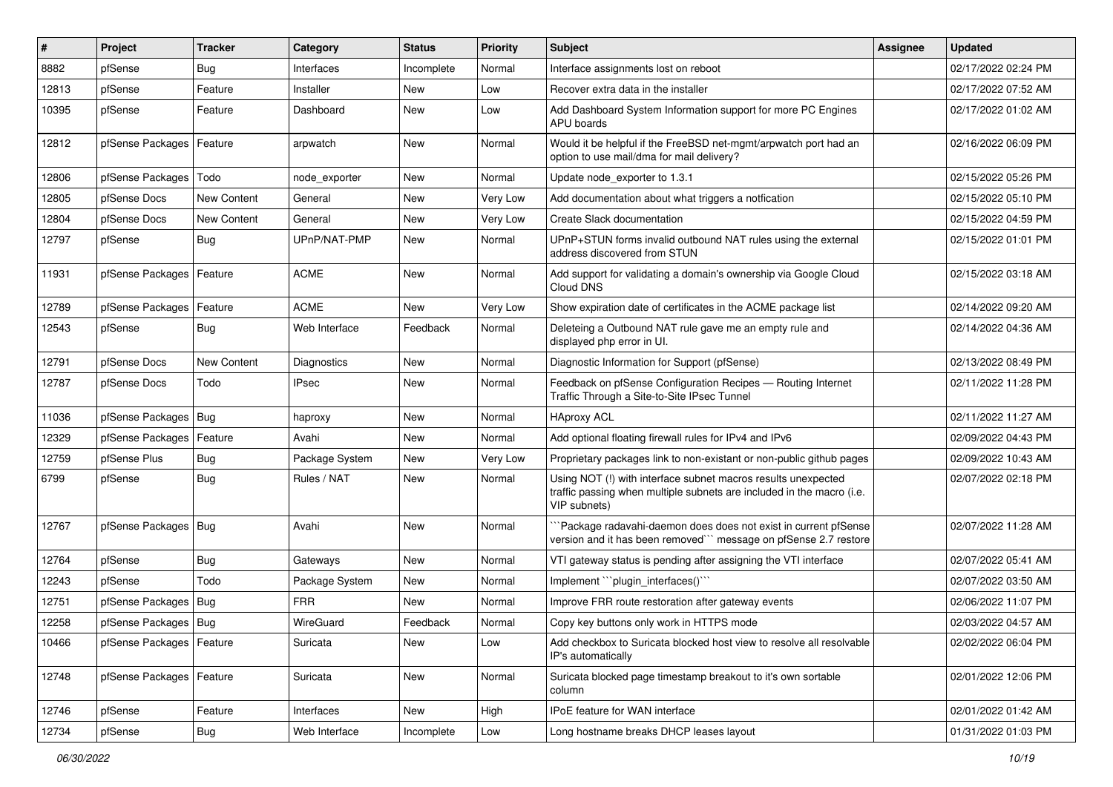| ∦     | Project                    | Tracker            | Category       | <b>Status</b> | <b>Priority</b> | <b>Subject</b>                                                                                                                                         | <b>Assignee</b> | <b>Updated</b>      |
|-------|----------------------------|--------------------|----------------|---------------|-----------------|--------------------------------------------------------------------------------------------------------------------------------------------------------|-----------------|---------------------|
| 8882  | pfSense                    | Bug                | Interfaces     | Incomplete    | Normal          | Interface assignments lost on reboot                                                                                                                   |                 | 02/17/2022 02:24 PM |
| 12813 | pfSense                    | Feature            | Installer      | <b>New</b>    | Low             | Recover extra data in the installer                                                                                                                    |                 | 02/17/2022 07:52 AM |
| 10395 | pfSense                    | Feature            | Dashboard      | <b>New</b>    | Low             | Add Dashboard System Information support for more PC Engines<br>APU boards                                                                             |                 | 02/17/2022 01:02 AM |
| 12812 | pfSense Packages   Feature |                    | arpwatch       | <b>New</b>    | Normal          | Would it be helpful if the FreeBSD net-mgmt/arpwatch port had an<br>option to use mail/dma for mail delivery?                                          |                 | 02/16/2022 06:09 PM |
| 12806 | pfSense Packages   Todo    |                    | node exporter  | New           | Normal          | Update node exporter to 1.3.1                                                                                                                          |                 | 02/15/2022 05:26 PM |
| 12805 | pfSense Docs               | New Content        | General        | <b>New</b>    | Very Low        | Add documentation about what triggers a notfication                                                                                                    |                 | 02/15/2022 05:10 PM |
| 12804 | pfSense Docs               | <b>New Content</b> | General        | New           | <b>Very Low</b> | Create Slack documentation                                                                                                                             |                 | 02/15/2022 04:59 PM |
| 12797 | pfSense                    | <b>Bug</b>         | UPnP/NAT-PMP   | <b>New</b>    | Normal          | UPnP+STUN forms invalid outbound NAT rules using the external<br>address discovered from STUN                                                          |                 | 02/15/2022 01:01 PM |
| 11931 | pfSense Packages   Feature |                    | <b>ACME</b>    | <b>New</b>    | Normal          | Add support for validating a domain's ownership via Google Cloud<br>Cloud DNS                                                                          |                 | 02/15/2022 03:18 AM |
| 12789 | pfSense Packages           | Feature            | <b>ACME</b>    | <b>New</b>    | Very Low        | Show expiration date of certificates in the ACME package list                                                                                          |                 | 02/14/2022 09:20 AM |
| 12543 | pfSense                    | <b>Bug</b>         | Web Interface  | Feedback      | Normal          | Deleteing a Outbound NAT rule gave me an empty rule and<br>displayed php error in UI.                                                                  |                 | 02/14/2022 04:36 AM |
| 12791 | pfSense Docs               | New Content        | Diagnostics    | New           | Normal          | Diagnostic Information for Support (pfSense)                                                                                                           |                 | 02/13/2022 08:49 PM |
| 12787 | pfSense Docs               | Todo               | <b>IPsec</b>   | <b>New</b>    | Normal          | Feedback on pfSense Configuration Recipes - Routing Internet<br>Traffic Through a Site-to-Site IPsec Tunnel                                            |                 | 02/11/2022 11:28 PM |
| 11036 | pfSense Packages   Bug     |                    | haproxy        | <b>New</b>    | Normal          | <b>HAproxy ACL</b>                                                                                                                                     |                 | 02/11/2022 11:27 AM |
| 12329 | pfSense Packages           | Feature            | Avahi          | <b>New</b>    | Normal          | Add optional floating firewall rules for IPv4 and IPv6                                                                                                 |                 | 02/09/2022 04:43 PM |
| 12759 | pfSense Plus               | <b>Bug</b>         | Package System | <b>New</b>    | Very Low        | Proprietary packages link to non-existant or non-public github pages                                                                                   |                 | 02/09/2022 10:43 AM |
| 6799  | pfSense                    | Bug                | Rules / NAT    | New           | Normal          | Using NOT (!) with interface subnet macros results unexpected<br>traffic passing when multiple subnets are included in the macro (i.e.<br>VIP subnets) |                 | 02/07/2022 02:18 PM |
| 12767 | pfSense Packages   Bug     |                    | Avahi          | New           | Normal          | Package radavahi-daemon does does not exist in current pfSense<br>version and it has been removed"" message on pfSense 2.7 restore                     |                 | 02/07/2022 11:28 AM |
| 12764 | pfSense                    | <b>Bug</b>         | Gateways       | New           | Normal          | VTI gateway status is pending after assigning the VTI interface                                                                                        |                 | 02/07/2022 05:41 AM |
| 12243 | pfSense                    | Todo               | Package System | <b>New</b>    | Normal          | Implement "``plugin_interfaces()```                                                                                                                    |                 | 02/07/2022 03:50 AM |
| 12751 | pfSense Packages   Bug     |                    | <b>FRR</b>     | New           | Normal          | Improve FRR route restoration after gateway events                                                                                                     |                 | 02/06/2022 11:07 PM |
| 12258 | pfSense Packages   Bug     |                    | WireGuard      | Feedback      | Normal          | Copy key buttons only work in HTTPS mode                                                                                                               |                 | 02/03/2022 04:57 AM |
| 10466 | pfSense Packages   Feature |                    | Suricata       | New           | Low             | Add checkbox to Suricata blocked host view to resolve all resolvable<br>IP's automatically                                                             |                 | 02/02/2022 06:04 PM |
| 12748 | pfSense Packages   Feature |                    | Suricata       | New           | Normal          | Suricata blocked page timestamp breakout to it's own sortable<br>column                                                                                |                 | 02/01/2022 12:06 PM |
| 12746 | pfSense                    | Feature            | Interfaces     | New           | High            | IPoE feature for WAN interface                                                                                                                         |                 | 02/01/2022 01:42 AM |
| 12734 | pfSense                    | <b>Bug</b>         | Web Interface  | Incomplete    | Low             | Long hostname breaks DHCP leases layout                                                                                                                |                 | 01/31/2022 01:03 PM |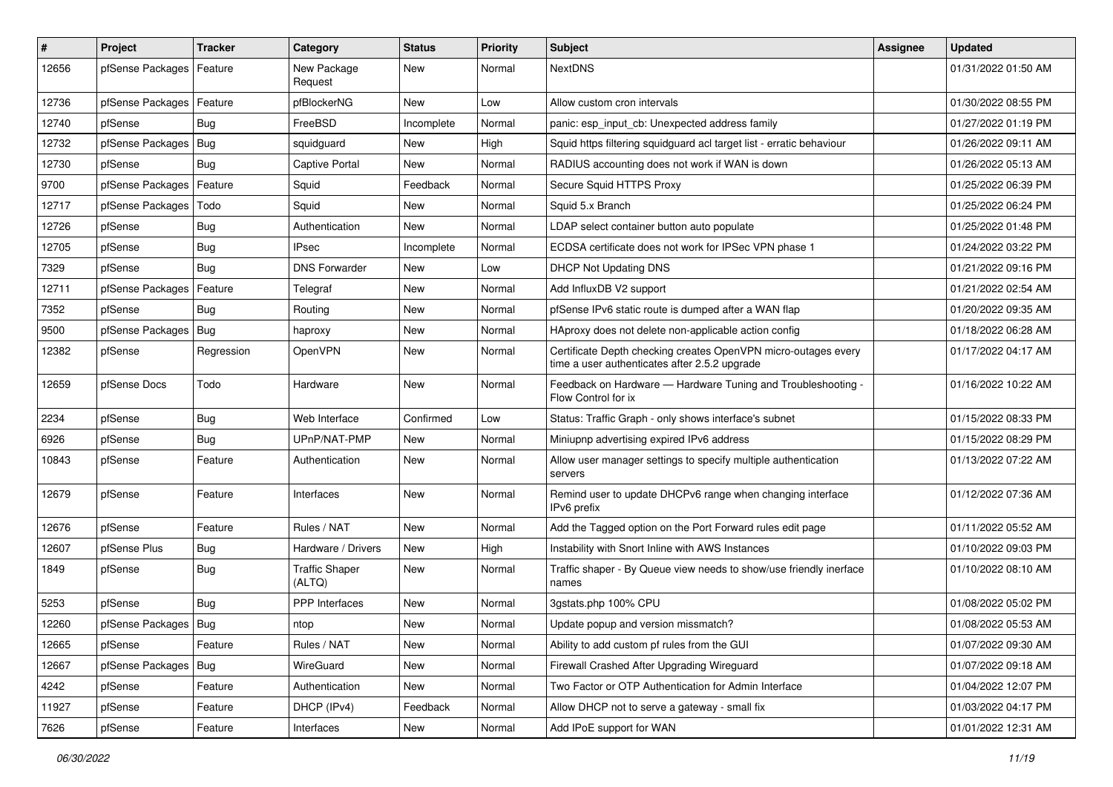| $\sharp$ | Project                    | Tracker    | Category                        | <b>Status</b> | <b>Priority</b> | <b>Subject</b>                                                                                                  | <b>Assignee</b> | <b>Updated</b>      |
|----------|----------------------------|------------|---------------------------------|---------------|-----------------|-----------------------------------------------------------------------------------------------------------------|-----------------|---------------------|
| 12656    | pfSense Packages           | Feature    | New Package<br>Request          | <b>New</b>    | Normal          | <b>NextDNS</b>                                                                                                  |                 | 01/31/2022 01:50 AM |
| 12736    | pfSense Packages           | Feature    | pfBlockerNG                     | <b>New</b>    | Low             | Allow custom cron intervals                                                                                     |                 | 01/30/2022 08:55 PM |
| 12740    | pfSense                    | Bug        | FreeBSD                         | Incomplete    | Normal          | panic: esp input cb: Unexpected address family                                                                  |                 | 01/27/2022 01:19 PM |
| 12732    | pfSense Packages           | Bug        | squidguard                      | <b>New</b>    | High            | Squid https filtering squidguard acl target list - erratic behaviour                                            |                 | 01/26/2022 09:11 AM |
| 12730    | pfSense                    | Bug        | Captive Portal                  | New           | Normal          | RADIUS accounting does not work if WAN is down                                                                  |                 | 01/26/2022 05:13 AM |
| 9700     | pfSense Packages           | Feature    | Squid                           | Feedback      | Normal          | Secure Squid HTTPS Proxy                                                                                        |                 | 01/25/2022 06:39 PM |
| 12717    | pfSense Packages           | Todo       | Squid                           | New           | Normal          | Squid 5.x Branch                                                                                                |                 | 01/25/2022 06:24 PM |
| 12726    | pfSense                    | Bug        | Authentication                  | <b>New</b>    | Normal          | LDAP select container button auto populate                                                                      |                 | 01/25/2022 01:48 PM |
| 12705    | pfSense                    | Bug        | <b>IPsec</b>                    | Incomplete    | Normal          | ECDSA certificate does not work for IPSec VPN phase 1                                                           |                 | 01/24/2022 03:22 PM |
| 7329     | pfSense                    | Bug        | <b>DNS Forwarder</b>            | <b>New</b>    | Low             | <b>DHCP Not Updating DNS</b>                                                                                    |                 | 01/21/2022 09:16 PM |
| 12711    | pfSense Packages   Feature |            | Telegraf                        | <b>New</b>    | Normal          | Add InfluxDB V2 support                                                                                         |                 | 01/21/2022 02:54 AM |
| 7352     | pfSense                    | Bug        | Routing                         | New           | Normal          | pfSense IPv6 static route is dumped after a WAN flap                                                            |                 | 01/20/2022 09:35 AM |
| 9500     | pfSense Packages   Bug     |            | haproxy                         | New           | Normal          | HAproxy does not delete non-applicable action config                                                            |                 | 01/18/2022 06:28 AM |
| 12382    | pfSense                    | Regression | OpenVPN                         | New           | Normal          | Certificate Depth checking creates OpenVPN micro-outages every<br>time a user authenticates after 2.5.2 upgrade |                 | 01/17/2022 04:17 AM |
| 12659    | pfSense Docs               | Todo       | Hardware                        | New           | Normal          | Feedback on Hardware - Hardware Tuning and Troubleshooting -<br>Flow Control for ix                             |                 | 01/16/2022 10:22 AM |
| 2234     | pfSense                    | Bug        | Web Interface                   | Confirmed     | Low             | Status: Traffic Graph - only shows interface's subnet                                                           |                 | 01/15/2022 08:33 PM |
| 6926     | pfSense                    | <b>Bug</b> | UPnP/NAT-PMP                    | New           | Normal          | Miniupnp advertising expired IPv6 address                                                                       |                 | 01/15/2022 08:29 PM |
| 10843    | pfSense                    | Feature    | Authentication                  | New           | Normal          | Allow user manager settings to specify multiple authentication<br>servers                                       |                 | 01/13/2022 07:22 AM |
| 12679    | pfSense                    | Feature    | Interfaces                      | <b>New</b>    | Normal          | Remind user to update DHCPv6 range when changing interface<br>IPv6 prefix                                       |                 | 01/12/2022 07:36 AM |
| 12676    | pfSense                    | Feature    | Rules / NAT                     | <b>New</b>    | Normal          | Add the Tagged option on the Port Forward rules edit page                                                       |                 | 01/11/2022 05:52 AM |
| 12607    | pfSense Plus               | <b>Bug</b> | Hardware / Drivers              | <b>New</b>    | High            | Instability with Snort Inline with AWS Instances                                                                |                 | 01/10/2022 09:03 PM |
| 1849     | pfSense                    | Bug        | <b>Traffic Shaper</b><br>(ALTQ) | <b>New</b>    | Normal          | Traffic shaper - By Queue view needs to show/use friendly inerface<br>names                                     |                 | 01/10/2022 08:10 AM |
| 5253     | pfSense                    | Bug        | PPP Interfaces                  | <b>New</b>    | Normal          | 3gstats.php 100% CPU                                                                                            |                 | 01/08/2022 05:02 PM |
| 12260    | pfSense Packages   Bug     |            | ntop                            | New           | Normal          | Update popup and version missmatch?                                                                             |                 | 01/08/2022 05:53 AM |
| 12665    | pfSense                    | Feature    | Rules / NAT                     | <b>New</b>    | Normal          | Ability to add custom pf rules from the GUI                                                                     |                 | 01/07/2022 09:30 AM |
| 12667    | pfSense Packages   Bug     |            | WireGuard                       | New           | Normal          | Firewall Crashed After Upgrading Wireguard                                                                      |                 | 01/07/2022 09:18 AM |
| 4242     | pfSense                    | Feature    | Authentication                  | New           | Normal          | Two Factor or OTP Authentication for Admin Interface                                                            |                 | 01/04/2022 12:07 PM |
| 11927    | pfSense                    | Feature    | DHCP (IPv4)                     | Feedback      | Normal          | Allow DHCP not to serve a gateway - small fix                                                                   |                 | 01/03/2022 04:17 PM |
| 7626     | pfSense                    | Feature    | Interfaces                      | New           | Normal          | Add IPoE support for WAN                                                                                        |                 | 01/01/2022 12:31 AM |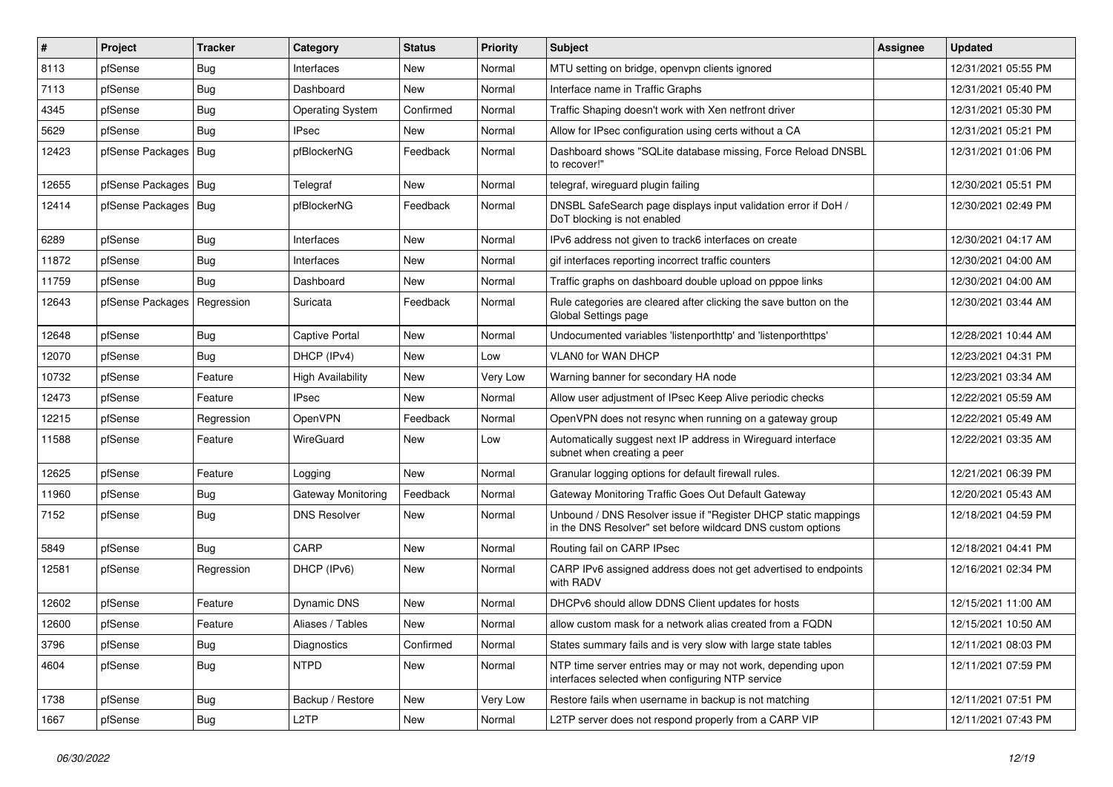| #     | Project                | <b>Tracker</b> | Category                  | <b>Status</b> | <b>Priority</b> | <b>Subject</b>                                                                                                                | Assignee | <b>Updated</b>      |
|-------|------------------------|----------------|---------------------------|---------------|-----------------|-------------------------------------------------------------------------------------------------------------------------------|----------|---------------------|
| 8113  | pfSense                | <b>Bug</b>     | Interfaces                | New           | Normal          | MTU setting on bridge, openvpn clients ignored                                                                                |          | 12/31/2021 05:55 PM |
| 7113  | pfSense                | Bug            | Dashboard                 | New           | Normal          | Interface name in Traffic Graphs                                                                                              |          | 12/31/2021 05:40 PM |
| 4345  | pfSense                | <b>Bug</b>     | <b>Operating System</b>   | Confirmed     | Normal          | Traffic Shaping doesn't work with Xen netfront driver                                                                         |          | 12/31/2021 05:30 PM |
| 5629  | pfSense                | <b>Bug</b>     | IPsec                     | New           | Normal          | Allow for IPsec configuration using certs without a CA                                                                        |          | 12/31/2021 05:21 PM |
| 12423 | pfSense Packages   Bug |                | pfBlockerNG               | Feedback      | Normal          | Dashboard shows "SQLite database missing, Force Reload DNSBL<br>to recover!"                                                  |          | 12/31/2021 01:06 PM |
| 12655 | pfSense Packages   Bug |                | Telegraf                  | New           | Normal          | telegraf, wireguard plugin failing                                                                                            |          | 12/30/2021 05:51 PM |
| 12414 | pfSense Packages   Bug |                | pfBlockerNG               | Feedback      | Normal          | DNSBL SafeSearch page displays input validation error if DoH /<br>DoT blocking is not enabled                                 |          | 12/30/2021 02:49 PM |
| 6289  | pfSense                | <b>Bug</b>     | Interfaces                | New           | Normal          | IPv6 address not given to track6 interfaces on create                                                                         |          | 12/30/2021 04:17 AM |
| 11872 | pfSense                | <b>Bug</b>     | Interfaces                | New           | Normal          | gif interfaces reporting incorrect traffic counters                                                                           |          | 12/30/2021 04:00 AM |
| 11759 | pfSense                | Bug            | Dashboard                 | New           | Normal          | Traffic graphs on dashboard double upload on pppoe links                                                                      |          | 12/30/2021 04:00 AM |
| 12643 | pfSense Packages       | Regression     | Suricata                  | Feedback      | Normal          | Rule categories are cleared after clicking the save button on the<br>Global Settings page                                     |          | 12/30/2021 03:44 AM |
| 12648 | pfSense                | Bug            | <b>Captive Portal</b>     | New           | Normal          | Undocumented variables 'listenporthttp' and 'listenporthttps'                                                                 |          | 12/28/2021 10:44 AM |
| 12070 | pfSense                | Bug            | DHCP (IPv4)               | <b>New</b>    | Low             | <b>VLANO for WAN DHCP</b>                                                                                                     |          | 12/23/2021 04:31 PM |
| 10732 | pfSense                | Feature        | <b>High Availability</b>  | New           | Very Low        | Warning banner for secondary HA node                                                                                          |          | 12/23/2021 03:34 AM |
| 12473 | pfSense                | Feature        | <b>IPsec</b>              | <b>New</b>    | Normal          | Allow user adjustment of IPsec Keep Alive periodic checks                                                                     |          | 12/22/2021 05:59 AM |
| 12215 | pfSense                | Regression     | OpenVPN                   | Feedback      | Normal          | OpenVPN does not resync when running on a gateway group                                                                       |          | 12/22/2021 05:49 AM |
| 11588 | pfSense                | Feature        | WireGuard                 | New           | Low             | Automatically suggest next IP address in Wireguard interface<br>subnet when creating a peer                                   |          | 12/22/2021 03:35 AM |
| 12625 | pfSense                | Feature        | Logging                   | New           | Normal          | Granular logging options for default firewall rules.                                                                          |          | 12/21/2021 06:39 PM |
| 11960 | pfSense                | Bug            | <b>Gateway Monitoring</b> | Feedback      | Normal          | Gateway Monitoring Traffic Goes Out Default Gateway                                                                           |          | 12/20/2021 05:43 AM |
| 7152  | pfSense                | Bug            | <b>DNS Resolver</b>       | New           | Normal          | Unbound / DNS Resolver issue if "Register DHCP static mappings<br>in the DNS Resolver" set before wildcard DNS custom options |          | 12/18/2021 04:59 PM |
| 5849  | pfSense                | Bug            | CARP                      | <b>New</b>    | Normal          | Routing fail on CARP IPsec                                                                                                    |          | 12/18/2021 04:41 PM |
| 12581 | pfSense                | Regression     | DHCP (IPv6)               | New           | Normal          | CARP IPv6 assigned address does not get advertised to endpoints<br>with RADV                                                  |          | 12/16/2021 02:34 PM |
| 12602 | pfSense                | Feature        | <b>Dynamic DNS</b>        | New           | Normal          | DHCPv6 should allow DDNS Client updates for hosts                                                                             |          | 12/15/2021 11:00 AM |
| 12600 | pfSense                | Feature        | Aliases / Tables          | New           | Normal          | allow custom mask for a network alias created from a FQDN                                                                     |          | 12/15/2021 10:50 AM |
| 3796  | pfSense                | Bug            | Diagnostics               | Confirmed     | Normal          | States summary fails and is very slow with large state tables                                                                 |          | 12/11/2021 08:03 PM |
| 4604  | pfSense                | <b>Bug</b>     | <b>NTPD</b>               | New           | Normal          | NTP time server entries may or may not work, depending upon<br>interfaces selected when configuring NTP service               |          | 12/11/2021 07:59 PM |
| 1738  | pfSense                | <b>Bug</b>     | Backup / Restore          | <b>New</b>    | Very Low        | Restore fails when username in backup is not matching                                                                         |          | 12/11/2021 07:51 PM |
| 1667  | pfSense                | Bug            | L <sub>2</sub> TP         | New           | Normal          | L2TP server does not respond properly from a CARP VIP                                                                         |          | 12/11/2021 07:43 PM |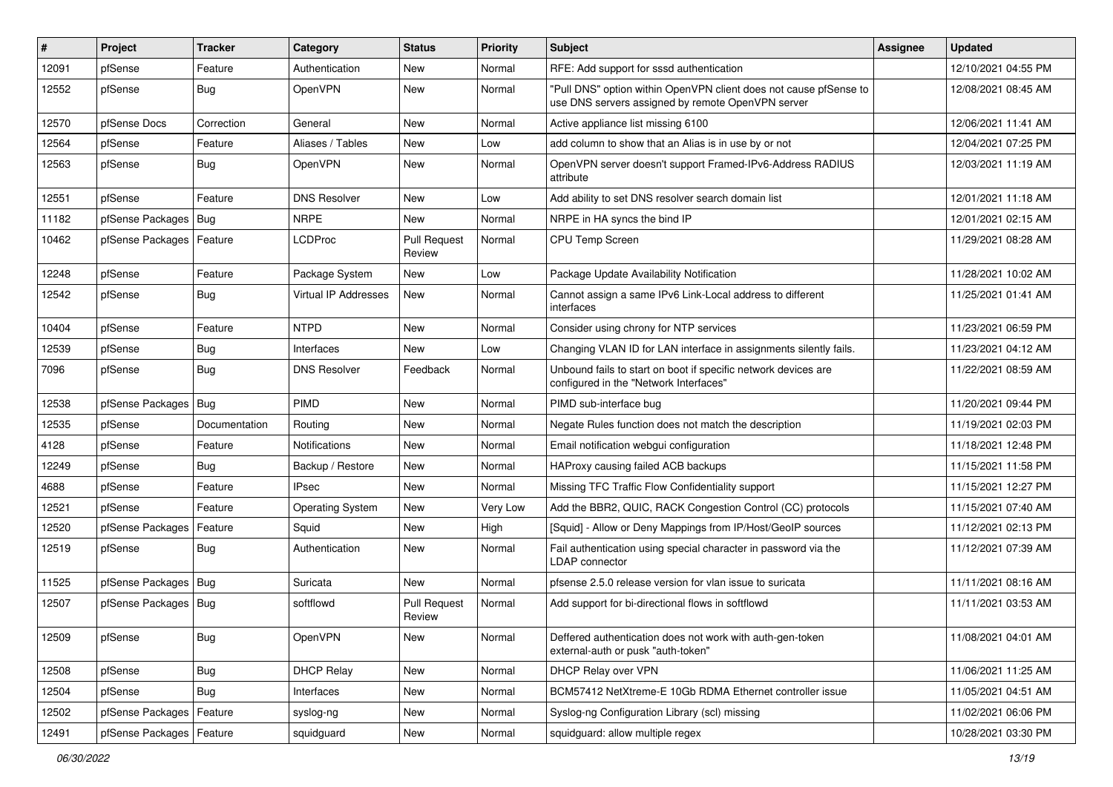| $\vert$ # | Project                    | <b>Tracker</b> | Category                | <b>Status</b>                 | <b>Priority</b> | <b>Subject</b>                                                                                                         | Assignee | <b>Updated</b>      |
|-----------|----------------------------|----------------|-------------------------|-------------------------------|-----------------|------------------------------------------------------------------------------------------------------------------------|----------|---------------------|
| 12091     | pfSense                    | Feature        | Authentication          | New                           | Normal          | RFE: Add support for sssd authentication                                                                               |          | 12/10/2021 04:55 PM |
| 12552     | pfSense                    | Bug            | OpenVPN                 | New                           | Normal          | "Pull DNS" option within OpenVPN client does not cause pfSense to<br>use DNS servers assigned by remote OpenVPN server |          | 12/08/2021 08:45 AM |
| 12570     | pfSense Docs               | Correction     | General                 | New                           | Normal          | Active appliance list missing 6100                                                                                     |          | 12/06/2021 11:41 AM |
| 12564     | pfSense                    | Feature        | Aliases / Tables        | New                           | Low             | add column to show that an Alias is in use by or not                                                                   |          | 12/04/2021 07:25 PM |
| 12563     | pfSense                    | Bug            | OpenVPN                 | New                           | Normal          | OpenVPN server doesn't support Framed-IPv6-Address RADIUS<br>attribute                                                 |          | 12/03/2021 11:19 AM |
| 12551     | pfSense                    | Feature        | <b>DNS Resolver</b>     | <b>New</b>                    | Low             | Add ability to set DNS resolver search domain list                                                                     |          | 12/01/2021 11:18 AM |
| 11182     | pfSense Packages   Bug     |                | <b>NRPE</b>             | New                           | Normal          | NRPE in HA syncs the bind IP                                                                                           |          | 12/01/2021 02:15 AM |
| 10462     | pfSense Packages   Feature |                | <b>LCDProc</b>          | <b>Pull Request</b><br>Review | Normal          | CPU Temp Screen                                                                                                        |          | 11/29/2021 08:28 AM |
| 12248     | pfSense                    | Feature        | Package System          | New                           | Low             | Package Update Availability Notification                                                                               |          | 11/28/2021 10:02 AM |
| 12542     | pfSense                    | Bug            | Virtual IP Addresses    | <b>New</b>                    | Normal          | Cannot assign a same IPv6 Link-Local address to different<br>interfaces                                                |          | 11/25/2021 01:41 AM |
| 10404     | pfSense                    | Feature        | <b>NTPD</b>             | <b>New</b>                    | Normal          | Consider using chrony for NTP services                                                                                 |          | 11/23/2021 06:59 PM |
| 12539     | pfSense                    | <b>Bug</b>     | Interfaces              | <b>New</b>                    | Low             | Changing VLAN ID for LAN interface in assignments silently fails.                                                      |          | 11/23/2021 04:12 AM |
| 7096      | pfSense                    | <b>Bug</b>     | <b>DNS Resolver</b>     | Feedback                      | Normal          | Unbound fails to start on boot if specific network devices are<br>configured in the "Network Interfaces"               |          | 11/22/2021 08:59 AM |
| 12538     | pfSense Packages   Bug     |                | PIMD                    | <b>New</b>                    | Normal          | PIMD sub-interface bug                                                                                                 |          | 11/20/2021 09:44 PM |
| 12535     | pfSense                    | Documentation  | Routing                 | New                           | Normal          | Negate Rules function does not match the description                                                                   |          | 11/19/2021 02:03 PM |
| 4128      | pfSense                    | Feature        | <b>Notifications</b>    | <b>New</b>                    | Normal          | Email notification webgui configuration                                                                                |          | 11/18/2021 12:48 PM |
| 12249     | pfSense                    | <b>Bug</b>     | Backup / Restore        | New                           | Normal          | HAProxy causing failed ACB backups                                                                                     |          | 11/15/2021 11:58 PM |
| 4688      | pfSense                    | Feature        | <b>IPsec</b>            | New                           | Normal          | Missing TFC Traffic Flow Confidentiality support                                                                       |          | 11/15/2021 12:27 PM |
| 12521     | pfSense                    | Feature        | <b>Operating System</b> | <b>New</b>                    | Very Low        | Add the BBR2, QUIC, RACK Congestion Control (CC) protocols                                                             |          | 11/15/2021 07:40 AM |
| 12520     | pfSense Packages           | Feature        | Squid                   | New                           | High            | [Squid] - Allow or Deny Mappings from IP/Host/GeoIP sources                                                            |          | 11/12/2021 02:13 PM |
| 12519     | pfSense                    | Bug            | Authentication          | New                           | Normal          | Fail authentication using special character in password via the<br><b>LDAP</b> connector                               |          | 11/12/2021 07:39 AM |
| 11525     | pfSense Packages   Bug     |                | Suricata                | New                           | Normal          | pfsense 2.5.0 release version for vlan issue to suricata                                                               |          | 11/11/2021 08:16 AM |
| 12507     | pfSense Packages   Bug     |                | softflowd               | <b>Pull Request</b><br>Review | Normal          | Add support for bi-directional flows in softflowd                                                                      |          | 11/11/2021 03:53 AM |
| 12509     | pfSense                    | <b>Bug</b>     | OpenVPN                 | New                           | Normal          | Deffered authentication does not work with auth-gen-token<br>external-auth or pusk "auth-token"                        |          | 11/08/2021 04:01 AM |
| 12508     | pfSense                    | <b>Bug</b>     | <b>DHCP Relay</b>       | New                           | Normal          | DHCP Relay over VPN                                                                                                    |          | 11/06/2021 11:25 AM |
| 12504     | pfSense                    | Bug            | Interfaces              | New                           | Normal          | BCM57412 NetXtreme-E 10Gb RDMA Ethernet controller issue                                                               |          | 11/05/2021 04:51 AM |
| 12502     | pfSense Packages           | Feature        | syslog-ng               | New                           | Normal          | Syslog-ng Configuration Library (scl) missing                                                                          |          | 11/02/2021 06:06 PM |
| 12491     | pfSense Packages   Feature |                | squidguard              | New                           | Normal          | squidguard: allow multiple regex                                                                                       |          | 10/28/2021 03:30 PM |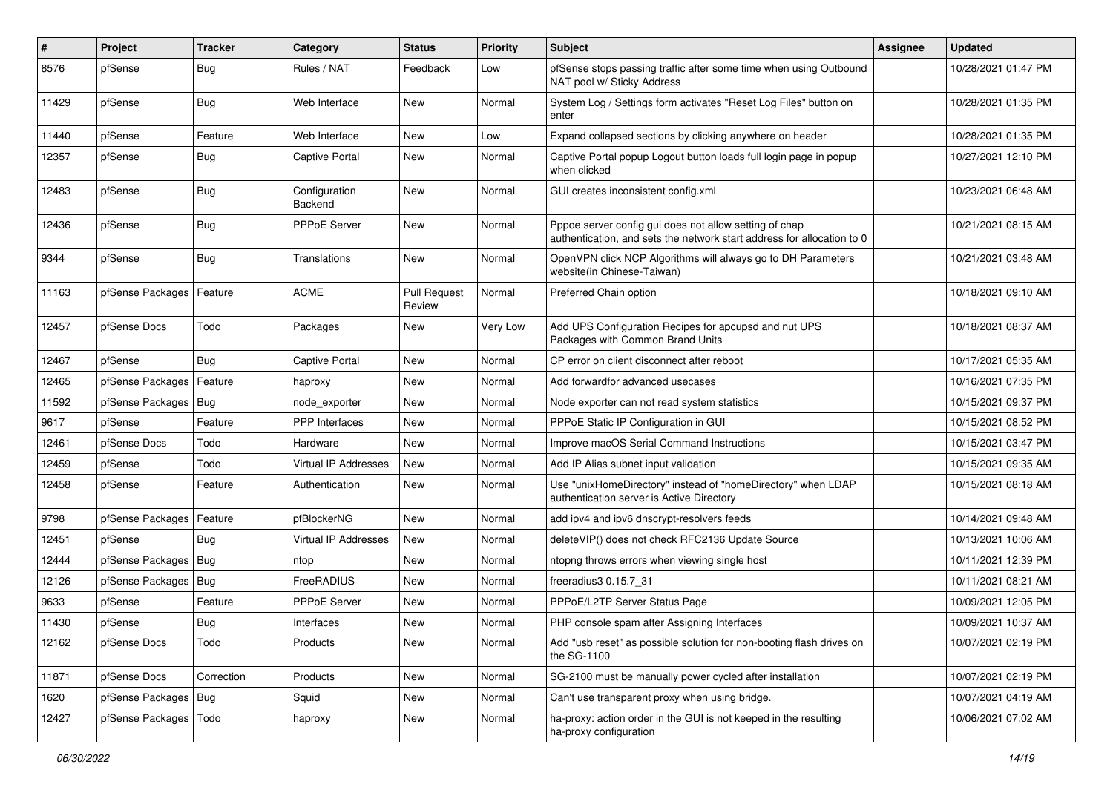| #     | Project                    | <b>Tracker</b> | Category                    | <b>Status</b>                 | Priority | <b>Subject</b>                                                                                                                   | <b>Assignee</b> | <b>Updated</b>      |
|-------|----------------------------|----------------|-----------------------------|-------------------------------|----------|----------------------------------------------------------------------------------------------------------------------------------|-----------------|---------------------|
| 8576  | pfSense                    | Bug            | Rules / NAT                 | Feedback                      | Low      | pfSense stops passing traffic after some time when using Outbound<br>NAT pool w/ Sticky Address                                  |                 | 10/28/2021 01:47 PM |
| 11429 | pfSense                    | Bug            | Web Interface               | New                           | Normal   | System Log / Settings form activates "Reset Log Files" button on<br>enter                                                        |                 | 10/28/2021 01:35 PM |
| 11440 | pfSense                    | Feature        | Web Interface               | <b>New</b>                    | Low      | Expand collapsed sections by clicking anywhere on header                                                                         |                 | 10/28/2021 01:35 PM |
| 12357 | pfSense                    | Bug            | <b>Captive Portal</b>       | <b>New</b>                    | Normal   | Captive Portal popup Logout button loads full login page in popup<br>when clicked                                                |                 | 10/27/2021 12:10 PM |
| 12483 | pfSense                    | Bug            | Configuration<br>Backend    | <b>New</b>                    | Normal   | GUI creates inconsistent config.xml                                                                                              |                 | 10/23/2021 06:48 AM |
| 12436 | pfSense                    | Bug            | PPPoE Server                | New                           | Normal   | Pppoe server config gui does not allow setting of chap<br>authentication, and sets the network start address for allocation to 0 |                 | 10/21/2021 08:15 AM |
| 9344  | pfSense                    | <b>Bug</b>     | Translations                | <b>New</b>                    | Normal   | OpenVPN click NCP Algorithms will always go to DH Parameters<br>website(in Chinese-Taiwan)                                       |                 | 10/21/2021 03:48 AM |
| 11163 | pfSense Packages   Feature |                | <b>ACME</b>                 | <b>Pull Request</b><br>Review | Normal   | Preferred Chain option                                                                                                           |                 | 10/18/2021 09:10 AM |
| 12457 | pfSense Docs               | Todo           | Packages                    | <b>New</b>                    | Very Low | Add UPS Configuration Recipes for apcupsd and nut UPS<br>Packages with Common Brand Units                                        |                 | 10/18/2021 08:37 AM |
| 12467 | pfSense                    | Bug            | <b>Captive Portal</b>       | <b>New</b>                    | Normal   | CP error on client disconnect after reboot                                                                                       |                 | 10/17/2021 05:35 AM |
| 12465 | pfSense Packages           | Feature        | haproxy                     | <b>New</b>                    | Normal   | Add forwardfor advanced usecases                                                                                                 |                 | 10/16/2021 07:35 PM |
| 11592 | pfSense Packages   Bug     |                | node exporter               | <b>New</b>                    | Normal   | Node exporter can not read system statistics                                                                                     |                 | 10/15/2021 09:37 PM |
| 9617  | pfSense                    | Feature        | <b>PPP</b> Interfaces       | <b>New</b>                    | Normal   | PPPoE Static IP Configuration in GUI                                                                                             |                 | 10/15/2021 08:52 PM |
| 12461 | pfSense Docs               | Todo           | Hardware                    | New                           | Normal   | Improve macOS Serial Command Instructions                                                                                        |                 | 10/15/2021 03:47 PM |
| 12459 | pfSense                    | Todo           | <b>Virtual IP Addresses</b> | <b>New</b>                    | Normal   | Add IP Alias subnet input validation                                                                                             |                 | 10/15/2021 09:35 AM |
| 12458 | pfSense                    | Feature        | Authentication              | <b>New</b>                    | Normal   | Use "unixHomeDirectory" instead of "homeDirectory" when LDAP<br>authentication server is Active Directory                        |                 | 10/15/2021 08:18 AM |
| 9798  | pfSense Packages   Feature |                | pfBlockerNG                 | <b>New</b>                    | Normal   | add ipv4 and ipv6 dnscrypt-resolvers feeds                                                                                       |                 | 10/14/2021 09:48 AM |
| 12451 | pfSense                    | Bug            | <b>Virtual IP Addresses</b> | <b>New</b>                    | Normal   | deleteVIP() does not check RFC2136 Update Source                                                                                 |                 | 10/13/2021 10:06 AM |
| 12444 | pfSense Packages   Bug     |                | ntop                        | <b>New</b>                    | Normal   | ntopng throws errors when viewing single host                                                                                    |                 | 10/11/2021 12:39 PM |
| 12126 | pfSense Packages   Bug     |                | FreeRADIUS                  | <b>New</b>                    | Normal   | freeradius3 0.15.7 31                                                                                                            |                 | 10/11/2021 08:21 AM |
| 9633  | pfSense                    | Feature        | PPPoE Server                | New                           | Normal   | PPPoE/L2TP Server Status Page                                                                                                    |                 | 10/09/2021 12:05 PM |
| 11430 | pfSense                    | Bug            | Interfaces                  | New                           | Normal   | PHP console spam after Assigning Interfaces                                                                                      |                 | 10/09/2021 10:37 AM |
| 12162 | pfSense Docs               | Todo           | Products                    | New                           | Normal   | Add "usb reset" as possible solution for non-booting flash drives on<br>the SG-1100                                              |                 | 10/07/2021 02:19 PM |
| 11871 | pfSense Docs               | Correction     | Products                    | New                           | Normal   | SG-2100 must be manually power cycled after installation                                                                         |                 | 10/07/2021 02:19 PM |
| 1620  | pfSense Packages   Bug     |                | Squid                       | New                           | Normal   | Can't use transparent proxy when using bridge.                                                                                   |                 | 10/07/2021 04:19 AM |
| 12427 | pfSense Packages   Todo    |                | haproxy                     | New                           | Normal   | ha-proxy: action order in the GUI is not keeped in the resulting<br>ha-proxy configuration                                       |                 | 10/06/2021 07:02 AM |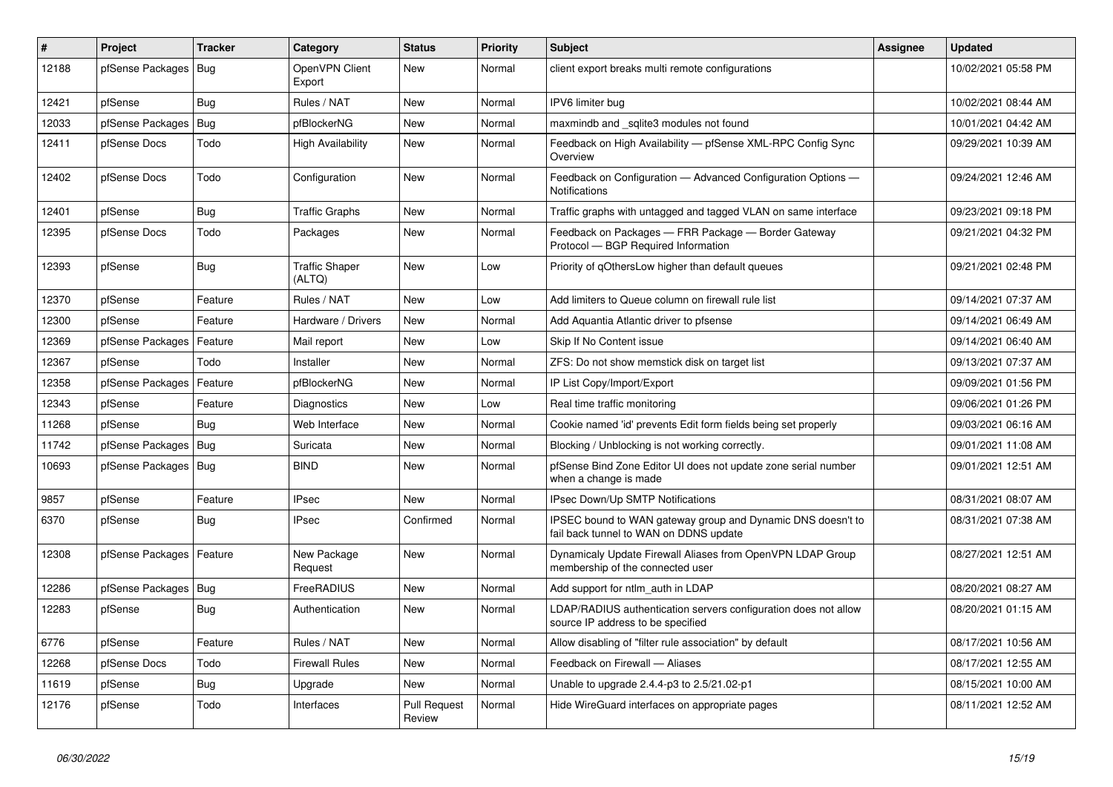| ∦     | <b>Project</b>             | <b>Tracker</b> | Category                        | <b>Status</b>                 | <b>Priority</b> | <b>Subject</b>                                                                                        | Assignee | <b>Updated</b>      |
|-------|----------------------------|----------------|---------------------------------|-------------------------------|-----------------|-------------------------------------------------------------------------------------------------------|----------|---------------------|
| 12188 | pfSense Packages           | Bug            | OpenVPN Client<br>Export        | <b>New</b>                    | Normal          | client export breaks multi remote configurations                                                      |          | 10/02/2021 05:58 PM |
| 12421 | pfSense                    | Bug            | Rules / NAT                     | <b>New</b>                    | Normal          | IPV6 limiter bug                                                                                      |          | 10/02/2021 08:44 AM |
| 12033 | pfSense Packages           | Bug            | pfBlockerNG                     | <b>New</b>                    | Normal          | maxmindb and sqlite3 modules not found                                                                |          | 10/01/2021 04:42 AM |
| 12411 | pfSense Docs               | Todo           | <b>High Availability</b>        | <b>New</b>                    | Normal          | Feedback on High Availability - pfSense XML-RPC Config Sync<br>Overview                               |          | 09/29/2021 10:39 AM |
| 12402 | pfSense Docs               | Todo           | Configuration                   | <b>New</b>                    | Normal          | Feedback on Configuration - Advanced Configuration Options -<br><b>Notifications</b>                  |          | 09/24/2021 12:46 AM |
| 12401 | pfSense                    | Bug            | <b>Traffic Graphs</b>           | <b>New</b>                    | Normal          | Traffic graphs with untagged and tagged VLAN on same interface                                        |          | 09/23/2021 09:18 PM |
| 12395 | pfSense Docs               | Todo           | Packages                        | <b>New</b>                    | Normal          | Feedback on Packages - FRR Package - Border Gateway<br>Protocol - BGP Required Information            |          | 09/21/2021 04:32 PM |
| 12393 | pfSense                    | Bug            | <b>Traffic Shaper</b><br>(ALTQ) | <b>New</b>                    | Low             | Priority of gOthersLow higher than default queues                                                     |          | 09/21/2021 02:48 PM |
| 12370 | pfSense                    | Feature        | Rules / NAT                     | <b>New</b>                    | Low             | Add limiters to Queue column on firewall rule list                                                    |          | 09/14/2021 07:37 AM |
| 12300 | pfSense                    | Feature        | Hardware / Drivers              | <b>New</b>                    | Normal          | Add Aquantia Atlantic driver to pfsense                                                               |          | 09/14/2021 06:49 AM |
| 12369 | pfSense Packages           | Feature        | Mail report                     | <b>New</b>                    | Low             | Skip If No Content issue                                                                              |          | 09/14/2021 06:40 AM |
| 12367 | pfSense                    | Todo           | Installer                       | <b>New</b>                    | Normal          | ZFS: Do not show memstick disk on target list                                                         |          | 09/13/2021 07:37 AM |
| 12358 | pfSense Packages           | Feature        | pfBlockerNG                     | <b>New</b>                    | Normal          | IP List Copy/Import/Export                                                                            |          | 09/09/2021 01:56 PM |
| 12343 | pfSense                    | Feature        | Diagnostics                     | <b>New</b>                    | Low             | Real time traffic monitoring                                                                          |          | 09/06/2021 01:26 PM |
| 11268 | pfSense                    | Bug            | Web Interface                   | <b>New</b>                    | Normal          | Cookie named 'id' prevents Edit form fields being set properly                                        |          | 09/03/2021 06:16 AM |
| 11742 | pfSense Packages           | Bug            | Suricata                        | <b>New</b>                    | Normal          | Blocking / Unblocking is not working correctly.                                                       |          | 09/01/2021 11:08 AM |
| 10693 | pfSense Packages   Bug     |                | <b>BIND</b>                     | <b>New</b>                    | Normal          | pfSense Bind Zone Editor UI does not update zone serial number<br>when a change is made               |          | 09/01/2021 12:51 AM |
| 9857  | pfSense                    | Feature        | <b>IPsec</b>                    | <b>New</b>                    | Normal          | <b>IPsec Down/Up SMTP Notifications</b>                                                               |          | 08/31/2021 08:07 AM |
| 6370  | pfSense                    | Bug            | <b>IPsec</b>                    | Confirmed                     | Normal          | IPSEC bound to WAN gateway group and Dynamic DNS doesn't to<br>fail back tunnel to WAN on DDNS update |          | 08/31/2021 07:38 AM |
| 12308 | pfSense Packages   Feature |                | New Package<br>Request          | <b>New</b>                    | Normal          | Dynamicaly Update Firewall Aliases from OpenVPN LDAP Group<br>membership of the connected user        |          | 08/27/2021 12:51 AM |
| 12286 | pfSense Packages           | Bug            | FreeRADIUS                      | <b>New</b>                    | Normal          | Add support for ntlm auth in LDAP                                                                     |          | 08/20/2021 08:27 AM |
| 12283 | pfSense                    | Bug            | Authentication                  | <b>New</b>                    | Normal          | LDAP/RADIUS authentication servers configuration does not allow<br>source IP address to be specified  |          | 08/20/2021 01:15 AM |
| 6776  | pfSense                    | Feature        | Rules / NAT                     | <b>New</b>                    | Normal          | Allow disabling of "filter rule association" by default                                               |          | 08/17/2021 10:56 AM |
| 12268 | pfSense Docs               | Todo           | <b>Firewall Rules</b>           | <b>New</b>                    | Normal          | Feedback on Firewall - Aliases                                                                        |          | 08/17/2021 12:55 AM |
| 11619 | pfSense                    | <b>Bug</b>     | Upgrade                         | <b>New</b>                    | Normal          | Unable to upgrade 2.4.4-p3 to 2.5/21.02-p1                                                            |          | 08/15/2021 10:00 AM |
| 12176 | pfSense                    | Todo           | Interfaces                      | <b>Pull Request</b><br>Review | Normal          | Hide WireGuard interfaces on appropriate pages                                                        |          | 08/11/2021 12:52 AM |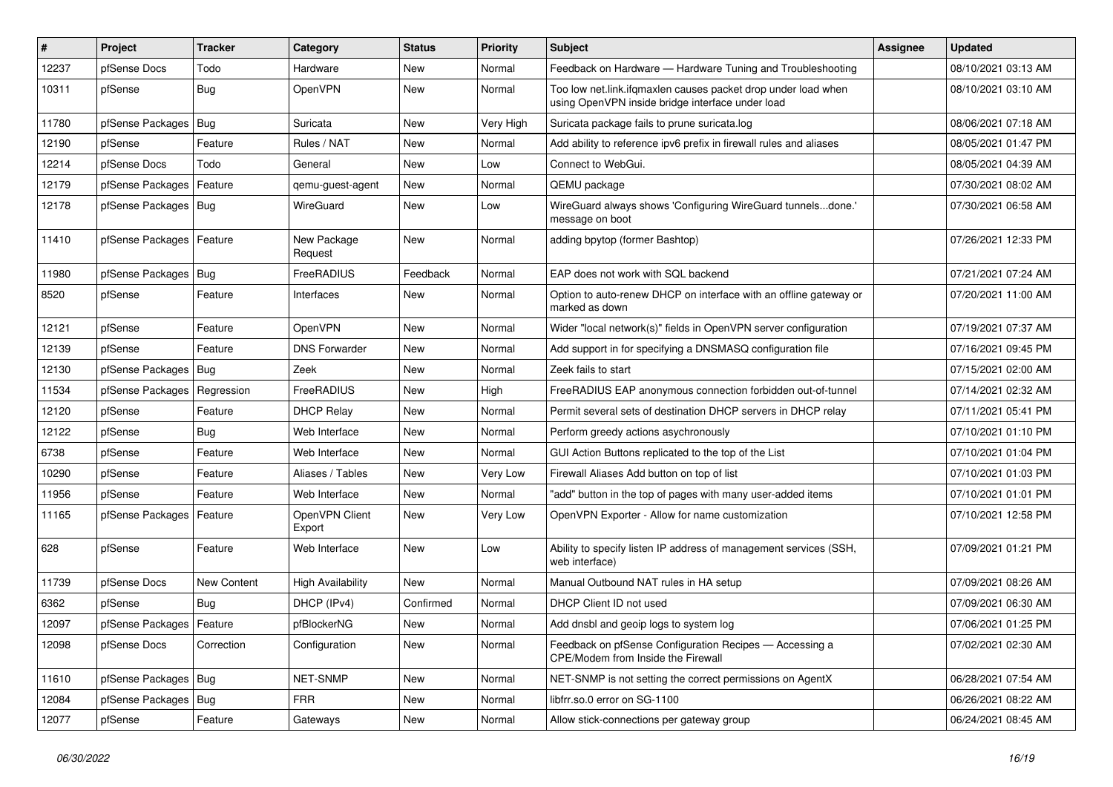| #     | Project                    | <b>Tracker</b> | Category                 | <b>Status</b> | <b>Priority</b> | <b>Subject</b>                                                                                                    | <b>Assignee</b> | <b>Updated</b>      |
|-------|----------------------------|----------------|--------------------------|---------------|-----------------|-------------------------------------------------------------------------------------------------------------------|-----------------|---------------------|
| 12237 | pfSense Docs               | Todo           | Hardware                 | New           | Normal          | Feedback on Hardware - Hardware Tuning and Troubleshooting                                                        |                 | 08/10/2021 03:13 AM |
| 10311 | pfSense                    | Bug            | OpenVPN                  | New           | Normal          | Too low net.link.ifqmaxlen causes packet drop under load when<br>using OpenVPN inside bridge interface under load |                 | 08/10/2021 03:10 AM |
| 11780 | pfSense Packages   Bug     |                | Suricata                 | New           | Very High       | Suricata package fails to prune suricata.log                                                                      |                 | 08/06/2021 07:18 AM |
| 12190 | pfSense                    | Feature        | Rules / NAT              | New           | Normal          | Add ability to reference ipv6 prefix in firewall rules and aliases                                                |                 | 08/05/2021 01:47 PM |
| 12214 | pfSense Docs               | Todo           | General                  | New           | Low             | Connect to WebGui.                                                                                                |                 | 08/05/2021 04:39 AM |
| 12179 | pfSense Packages   Feature |                | qemu-guest-agent         | New           | Normal          | QEMU package                                                                                                      |                 | 07/30/2021 08:02 AM |
| 12178 | pfSense Packages   Bug     |                | WireGuard                | <b>New</b>    | Low             | WireGuard always shows 'Configuring WireGuard tunnelsdone.'<br>message on boot                                    |                 | 07/30/2021 06:58 AM |
| 11410 | pfSense Packages   Feature |                | New Package<br>Request   | New           | Normal          | adding bpytop (former Bashtop)                                                                                    |                 | 07/26/2021 12:33 PM |
| 11980 | pfSense Packages           | Bug            | FreeRADIUS               | Feedback      | Normal          | EAP does not work with SQL backend                                                                                |                 | 07/21/2021 07:24 AM |
| 8520  | pfSense                    | Feature        | Interfaces               | New           | Normal          | Option to auto-renew DHCP on interface with an offline gateway or<br>marked as down                               |                 | 07/20/2021 11:00 AM |
| 12121 | pfSense                    | Feature        | OpenVPN                  | New           | Normal          | Wider "local network(s)" fields in OpenVPN server configuration                                                   |                 | 07/19/2021 07:37 AM |
| 12139 | pfSense                    | Feature        | <b>DNS Forwarder</b>     | New           | Normal          | Add support in for specifying a DNSMASQ configuration file                                                        |                 | 07/16/2021 09:45 PM |
| 12130 | pfSense Packages   Bug     |                | Zeek                     | New           | Normal          | Zeek fails to start                                                                                               |                 | 07/15/2021 02:00 AM |
| 11534 | pfSense Packages           | Regression     | FreeRADIUS               | New           | High            | FreeRADIUS EAP anonymous connection forbidden out-of-tunnel                                                       |                 | 07/14/2021 02:32 AM |
| 12120 | pfSense                    | Feature        | <b>DHCP Relay</b>        | New           | Normal          | Permit several sets of destination DHCP servers in DHCP relay                                                     |                 | 07/11/2021 05:41 PM |
| 12122 | pfSense                    | <b>Bug</b>     | Web Interface            | New           | Normal          | Perform greedy actions asychronously                                                                              |                 | 07/10/2021 01:10 PM |
| 6738  | pfSense                    | Feature        | Web Interface            | <b>New</b>    | Normal          | GUI Action Buttons replicated to the top of the List                                                              |                 | 07/10/2021 01:04 PM |
| 10290 | pfSense                    | Feature        | Aliases / Tables         | New           | Very Low        | Firewall Aliases Add button on top of list                                                                        |                 | 07/10/2021 01:03 PM |
| 11956 | pfSense                    | Feature        | Web Interface            | New           | Normal          | "add" button in the top of pages with many user-added items                                                       |                 | 07/10/2021 01:01 PM |
| 11165 | pfSense Packages           | Feature        | OpenVPN Client<br>Export | New           | Very Low        | OpenVPN Exporter - Allow for name customization                                                                   |                 | 07/10/2021 12:58 PM |
| 628   | pfSense                    | Feature        | Web Interface            | <b>New</b>    | Low             | Ability to specify listen IP address of management services (SSH,<br>web interface)                               |                 | 07/09/2021 01:21 PM |
| 11739 | pfSense Docs               | New Content    | <b>High Availability</b> | New           | Normal          | Manual Outbound NAT rules in HA setup                                                                             |                 | 07/09/2021 08:26 AM |
| 6362  | pfSense                    | <b>Bug</b>     | DHCP (IPv4)              | Confirmed     | Normal          | DHCP Client ID not used                                                                                           |                 | 07/09/2021 06:30 AM |
| 12097 | pfSense Packages   Feature |                | pfBlockerNG              | New           | Normal          | Add dnsbl and geoip logs to system log                                                                            |                 | 07/06/2021 01:25 PM |
| 12098 | pfSense Docs               | Correction     | Configuration            | New           | Normal          | Feedback on pfSense Configuration Recipes - Accessing a<br>CPE/Modem from Inside the Firewall                     |                 | 07/02/2021 02:30 AM |
| 11610 | pfSense Packages   Bug     |                | NET-SNMP                 | New           | Normal          | NET-SNMP is not setting the correct permissions on AgentX                                                         |                 | 06/28/2021 07:54 AM |
| 12084 | pfSense Packages   Bug     |                | <b>FRR</b>               | New           | Normal          | libfrr.so.0 error on SG-1100                                                                                      |                 | 06/26/2021 08:22 AM |
| 12077 | pfSense                    | Feature        | Gateways                 | New           | Normal          | Allow stick-connections per gateway group                                                                         |                 | 06/24/2021 08:45 AM |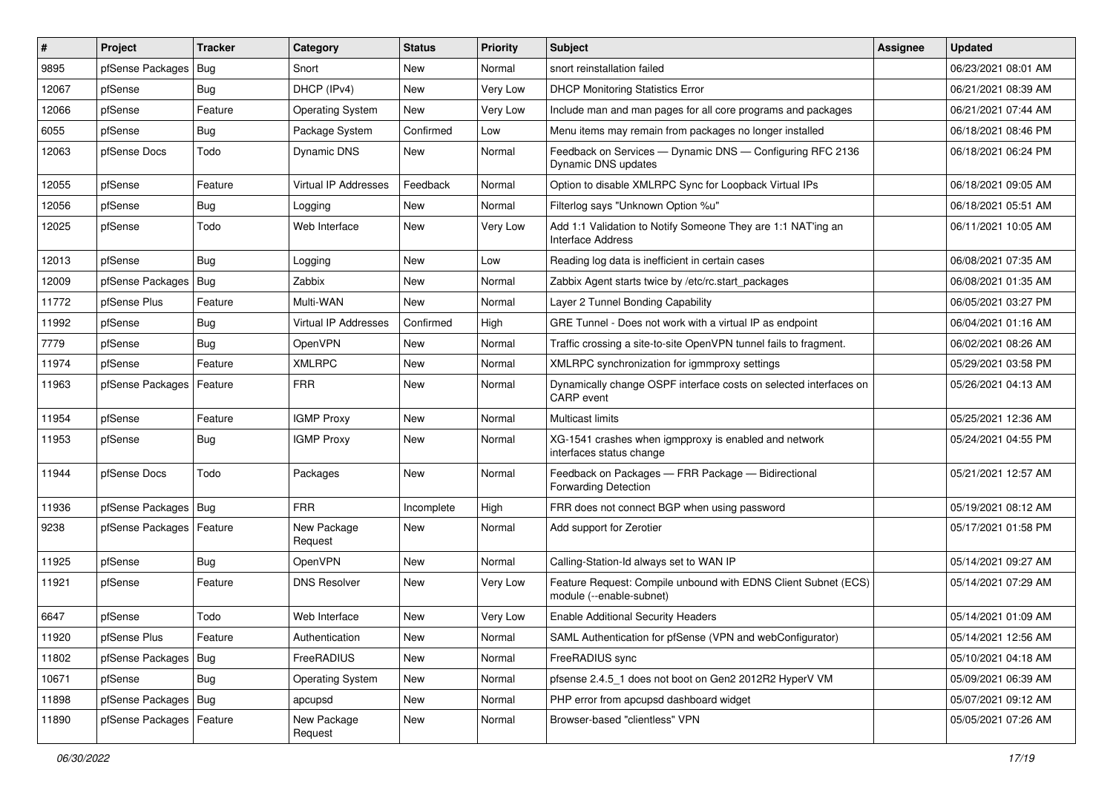| #     | Project                    | <b>Tracker</b> | Category                    | <b>Status</b> | <b>Priority</b> | <b>Subject</b>                                                                             | <b>Assignee</b> | <b>Updated</b>      |
|-------|----------------------------|----------------|-----------------------------|---------------|-----------------|--------------------------------------------------------------------------------------------|-----------------|---------------------|
| 9895  | pfSense Packages           | Bug            | Snort                       | New           | Normal          | snort reinstallation failed                                                                |                 | 06/23/2021 08:01 AM |
| 12067 | pfSense                    | Bug            | DHCP (IPv4)                 | New           | Very Low        | <b>DHCP Monitoring Statistics Error</b>                                                    |                 | 06/21/2021 08:39 AM |
| 12066 | pfSense                    | Feature        | <b>Operating System</b>     | <b>New</b>    | Very Low        | Include man and man pages for all core programs and packages                               |                 | 06/21/2021 07:44 AM |
| 6055  | pfSense                    | Bug            | Package System              | Confirmed     | Low             | Menu items may remain from packages no longer installed                                    |                 | 06/18/2021 08:46 PM |
| 12063 | pfSense Docs               | Todo           | Dynamic DNS                 | New           | Normal          | Feedback on Services - Dynamic DNS - Configuring RFC 2136<br>Dynamic DNS updates           |                 | 06/18/2021 06:24 PM |
| 12055 | pfSense                    | Feature        | <b>Virtual IP Addresses</b> | Feedback      | Normal          | Option to disable XMLRPC Sync for Loopback Virtual IPs                                     |                 | 06/18/2021 09:05 AM |
| 12056 | pfSense                    | Bug            | Logging                     | <b>New</b>    | Normal          | Filterlog says "Unknown Option %u"                                                         |                 | 06/18/2021 05:51 AM |
| 12025 | pfSense                    | Todo           | Web Interface               | New           | Very Low        | Add 1:1 Validation to Notify Someone They are 1:1 NAT'ing an<br>Interface Address          |                 | 06/11/2021 10:05 AM |
| 12013 | pfSense                    | Bug            | Logging                     | <b>New</b>    | Low             | Reading log data is inefficient in certain cases                                           |                 | 06/08/2021 07:35 AM |
| 12009 | pfSense Packages   Bug     |                | Zabbix                      | New           | Normal          | Zabbix Agent starts twice by /etc/rc.start packages                                        |                 | 06/08/2021 01:35 AM |
| 11772 | pfSense Plus               | Feature        | Multi-WAN                   | New           | Normal          | Layer 2 Tunnel Bonding Capability                                                          |                 | 06/05/2021 03:27 PM |
| 11992 | pfSense                    | Bug            | Virtual IP Addresses        | Confirmed     | High            | GRE Tunnel - Does not work with a virtual IP as endpoint                                   |                 | 06/04/2021 01:16 AM |
| 7779  | pfSense                    | Bug            | OpenVPN                     | New           | Normal          | Traffic crossing a site-to-site OpenVPN tunnel fails to fragment.                          |                 | 06/02/2021 08:26 AM |
| 11974 | pfSense                    | Feature        | <b>XMLRPC</b>               | <b>New</b>    | Normal          | XMLRPC synchronization for igmmproxy settings                                              |                 | 05/29/2021 03:58 PM |
| 11963 | pfSense Packages           | Feature        | <b>FRR</b>                  | New           | Normal          | Dynamically change OSPF interface costs on selected interfaces on<br><b>CARP</b> event     |                 | 05/26/2021 04:13 AM |
| 11954 | pfSense                    | Feature        | <b>IGMP Proxy</b>           | <b>New</b>    | Normal          | Multicast limits                                                                           |                 | 05/25/2021 12:36 AM |
| 11953 | pfSense                    | Bug            | <b>IGMP Proxy</b>           | New           | Normal          | XG-1541 crashes when igmpproxy is enabled and network<br>interfaces status change          |                 | 05/24/2021 04:55 PM |
| 11944 | pfSense Docs               | Todo           | Packages                    | New           | Normal          | Feedback on Packages - FRR Package - Bidirectional<br><b>Forwarding Detection</b>          |                 | 05/21/2021 12:57 AM |
| 11936 | pfSense Packages           | Bug            | <b>FRR</b>                  | Incomplete    | High            | FRR does not connect BGP when using password                                               |                 | 05/19/2021 08:12 AM |
| 9238  | pfSense Packages           | Feature        | New Package<br>Request      | New           | Normal          | Add support for Zerotier                                                                   |                 | 05/17/2021 01:58 PM |
| 11925 | pfSense                    | Bug            | OpenVPN                     | <b>New</b>    | Normal          | Calling-Station-Id always set to WAN IP                                                    |                 | 05/14/2021 09:27 AM |
| 11921 | pfSense                    | Feature        | <b>DNS Resolver</b>         | New           | Very Low        | Feature Request: Compile unbound with EDNS Client Subnet (ECS)<br>module (--enable-subnet) |                 | 05/14/2021 07:29 AM |
| 6647  | pfSense                    | Todo           | Web Interface               | New           | Very Low        | <b>Enable Additional Security Headers</b>                                                  |                 | 05/14/2021 01:09 AM |
| 11920 | pfSense Plus               | Feature        | Authentication              | New           | Normal          | SAML Authentication for pfSense (VPN and webConfigurator)                                  |                 | 05/14/2021 12:56 AM |
| 11802 | pfSense Packages           | Bug            | FreeRADIUS                  | New           | Normal          | FreeRADIUS sync                                                                            |                 | 05/10/2021 04:18 AM |
| 10671 | pfSense                    | Bug            | <b>Operating System</b>     | New           | Normal          | pfsense 2.4.5_1 does not boot on Gen2 2012R2 HyperV VM                                     |                 | 05/09/2021 06:39 AM |
| 11898 | pfSense Packages   Bug     |                | apcupsd                     | New           | Normal          | PHP error from apcupsd dashboard widget                                                    |                 | 05/07/2021 09:12 AM |
| 11890 | pfSense Packages   Feature |                | New Package<br>Request      | New           | Normal          | Browser-based "clientless" VPN                                                             |                 | 05/05/2021 07:26 AM |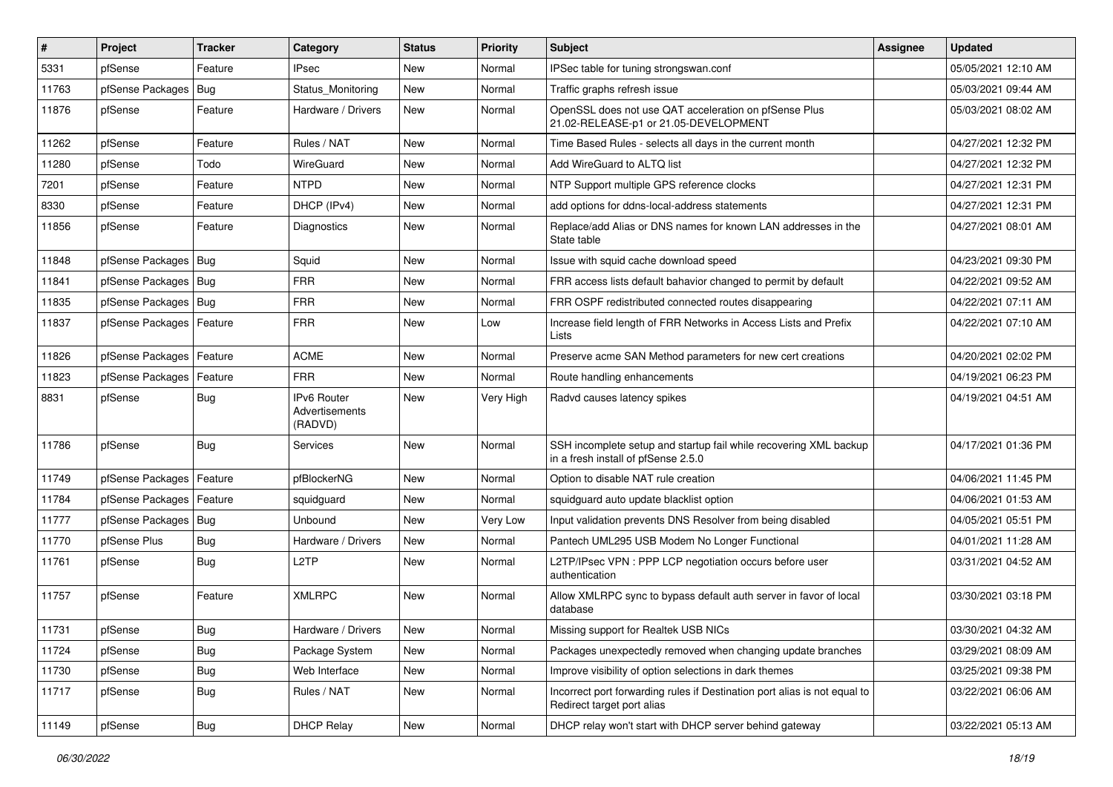| #     | Project                    | <b>Tracker</b> | Category                                        | <b>Status</b> | <b>Priority</b> | Subject                                                                                                  | <b>Assignee</b> | <b>Updated</b>      |
|-------|----------------------------|----------------|-------------------------------------------------|---------------|-----------------|----------------------------------------------------------------------------------------------------------|-----------------|---------------------|
| 5331  | pfSense                    | Feature        | <b>IPsec</b>                                    | New           | Normal          | IPSec table for tuning strongswan.conf                                                                   |                 | 05/05/2021 12:10 AM |
| 11763 | pfSense Packages   Bug     |                | Status_Monitoring                               | New           | Normal          | Traffic graphs refresh issue                                                                             |                 | 05/03/2021 09:44 AM |
| 11876 | pfSense                    | Feature        | Hardware / Drivers                              | New           | Normal          | OpenSSL does not use QAT acceleration on pfSense Plus<br>21.02-RELEASE-p1 or 21.05-DEVELOPMENT           |                 | 05/03/2021 08:02 AM |
| 11262 | pfSense                    | Feature        | Rules / NAT                                     | <b>New</b>    | Normal          | Time Based Rules - selects all days in the current month                                                 |                 | 04/27/2021 12:32 PM |
| 11280 | pfSense                    | Todo           | WireGuard                                       | New           | Normal          | Add WireGuard to ALTQ list                                                                               |                 | 04/27/2021 12:32 PM |
| 7201  | pfSense                    | Feature        | <b>NTPD</b>                                     | New           | Normal          | NTP Support multiple GPS reference clocks                                                                |                 | 04/27/2021 12:31 PM |
| 8330  | pfSense                    | Feature        | DHCP (IPv4)                                     | <b>New</b>    | Normal          | add options for ddns-local-address statements                                                            |                 | 04/27/2021 12:31 PM |
| 11856 | pfSense                    | Feature        | Diagnostics                                     | New           | Normal          | Replace/add Alias or DNS names for known LAN addresses in the<br>State table                             |                 | 04/27/2021 08:01 AM |
| 11848 | pfSense Packages   Bug     |                | Squid                                           | New           | Normal          | Issue with squid cache download speed                                                                    |                 | 04/23/2021 09:30 PM |
| 11841 | pfSense Packages   Bug     |                | <b>FRR</b>                                      | New           | Normal          | FRR access lists default bahavior changed to permit by default                                           |                 | 04/22/2021 09:52 AM |
| 11835 | pfSense Packages   Bug     |                | <b>FRR</b>                                      | New           | Normal          | FRR OSPF redistributed connected routes disappearing                                                     |                 | 04/22/2021 07:11 AM |
| 11837 | pfSense Packages   Feature |                | <b>FRR</b>                                      | New           | Low             | Increase field length of FRR Networks in Access Lists and Prefix<br>Lists                                |                 | 04/22/2021 07:10 AM |
| 11826 | pfSense Packages           | Feature        | <b>ACME</b>                                     | <b>New</b>    | Normal          | Preserve acme SAN Method parameters for new cert creations                                               |                 | 04/20/2021 02:02 PM |
| 11823 | pfSense Packages           | Feature        | <b>FRR</b>                                      | New           | Normal          | Route handling enhancements                                                                              |                 | 04/19/2021 06:23 PM |
| 8831  | pfSense                    | Bug            | <b>IPv6 Router</b><br>Advertisements<br>(RADVD) | <b>New</b>    | Very High       | Radvd causes latency spikes                                                                              |                 | 04/19/2021 04:51 AM |
| 11786 | pfSense                    | Bug            | Services                                        | <b>New</b>    | Normal          | SSH incomplete setup and startup fail while recovering XML backup<br>in a fresh install of pfSense 2.5.0 |                 | 04/17/2021 01:36 PM |
| 11749 | pfSense Packages           | Feature        | pfBlockerNG                                     | <b>New</b>    | Normal          | Option to disable NAT rule creation                                                                      |                 | 04/06/2021 11:45 PM |
| 11784 | pfSense Packages           | Feature        | squidguard                                      | <b>New</b>    | Normal          | squidguard auto update blacklist option                                                                  |                 | 04/06/2021 01:53 AM |
| 11777 | pfSense Packages   Bug     |                | Unbound                                         | New           | Very Low        | Input validation prevents DNS Resolver from being disabled                                               |                 | 04/05/2021 05:51 PM |
| 11770 | pfSense Plus               | <b>Bug</b>     | Hardware / Drivers                              | <b>New</b>    | Normal          | Pantech UML295 USB Modem No Longer Functional                                                            |                 | 04/01/2021 11:28 AM |
| 11761 | pfSense                    | Bug            | L <sub>2</sub> TP                               | New           | Normal          | L2TP/IPsec VPN : PPP LCP negotiation occurs before user<br>authentication                                |                 | 03/31/2021 04:52 AM |
| 11757 | pfSense                    | Feature        | <b>XMLRPC</b>                                   | <b>New</b>    | Normal          | Allow XMLRPC sync to bypass default auth server in favor of local<br>database                            |                 | 03/30/2021 03:18 PM |
| 11731 | pfSense                    | <b>Bug</b>     | Hardware / Drivers                              | New           | Normal          | Missing support for Realtek USB NICs                                                                     |                 | 03/30/2021 04:32 AM |
| 11724 | pfSense                    | <b>Bug</b>     | Package System                                  | New           | Normal          | Packages unexpectedly removed when changing update branches                                              |                 | 03/29/2021 08:09 AM |
| 11730 | pfSense                    | <b>Bug</b>     | Web Interface                                   | New           | Normal          | Improve visibility of option selections in dark themes                                                   |                 | 03/25/2021 09:38 PM |
| 11717 | pfSense                    | Bug            | Rules / NAT                                     | New           | Normal          | Incorrect port forwarding rules if Destination port alias is not equal to<br>Redirect target port alias  |                 | 03/22/2021 06:06 AM |
| 11149 | pfSense                    | <b>Bug</b>     | <b>DHCP Relay</b>                               | New           | Normal          | DHCP relay won't start with DHCP server behind gateway                                                   |                 | 03/22/2021 05:13 AM |